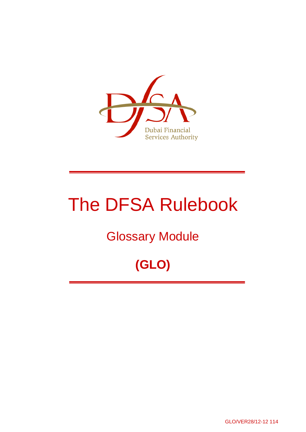

# The DFSA Rulebook

# Glossary Module

# **(GLO)**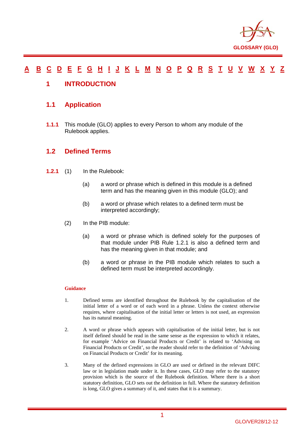

#### **A B C D E F G H I J K L M N O P Q R S T U V W X Y Z**

#### **1 INTRODUCTION**

#### **1.1 Application**

**1.1.1** This module (GLO) applies to every Person to whom any module of the Rulebook applies.

#### **1.2 Defined Terms**

- **1.2.1** (1) In the Rulebook:
	- (a) a word or phrase which is defined in this module is a defined term and has the meaning given in this module (GLO); and
	- (b) a word or phrase which relates to a defined term must be interpreted accordingly;
	- (2) In the PIB module:
		- (a) a word or phrase which is defined solely for the purposes of that module under PIB Rule 1.2.1 is also a defined term and has the meaning given in that module; and
		- (b) a word or phrase in the PIB module which relates to such a defined term must be interpreted accordingly.

#### **Guidance**

- 1. Defined terms are identified throughout the Rulebook by the capitalisation of the initial letter of a word or of each word in a phrase. Unless the context otherwise requires, where capitalisation of the initial letter or letters is not used, an expression has its natural meaning.
- 2. A word or phrase which appears with capitalisation of the initial letter, but is not itself defined should be read in the same sense as the expression to which it relates, for example 'Advice on Financial Products or Credit' is related to 'Advising on Financial Products or Credit', so the reader should refer to the definition of 'Advising on Financial Products or Credit' for its meaning.
- 3. Many of the defined expressions in GLO are used or defined in the relevant DIFC law or in legislation made under it. In these cases, GLO may refer to the statutory provision which is the source of the Rulebook definition. Where there is a short statutory definition, GLO sets out the definition in full. Where the statutory definition is long, GLO gives a summary of it, and states that it is a summary.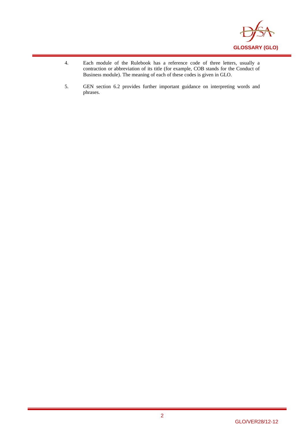

- 4. Each module of the Rulebook has a reference code of three letters, usually a contraction or abbreviation of its title (for example, COB stands for the Conduct of Business module). The meaning of each of these codes is given in GLO.
- 5. GEN section 6.2 provides further important guidance on interpreting words and phrases.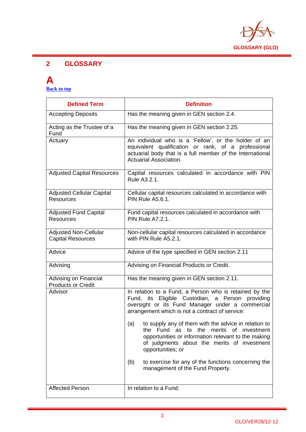

#### **2 GLOSSARY**

# **A**

**Back to top** 

| <b>Defined Term</b>                                      | <b>Definition</b>                                                                                                                                                                                                                                   |
|----------------------------------------------------------|-----------------------------------------------------------------------------------------------------------------------------------------------------------------------------------------------------------------------------------------------------|
| <b>Accepting Deposits</b>                                | Has the meaning given in GEN section 2.4.                                                                                                                                                                                                           |
| Acting as the Trustee of a<br>Fund                       | Has the meaning given in GEN section 2.25.                                                                                                                                                                                                          |
| Actuary                                                  | An individual who is a 'Fellow', or the holder of an<br>equivalent qualification or rank, of a professional<br>actuarial body that is a full member of the International<br>Actuarial Association.                                                  |
| <b>Adjusted Capital Resources</b>                        | Capital resources calculated in accordance with PIN<br>Rule A3.2.1.                                                                                                                                                                                 |
| <b>Adjusted Cellular Capital</b><br><b>Resources</b>     | Cellular capital resources calculated in accordance with<br><b>PIN Rule A5.6.1.</b>                                                                                                                                                                 |
| <b>Adjusted Fund Capital</b><br><b>Resources</b>         | Fund capital resources calculated in accordance with<br><b>PIN Rule A7.2.1.</b>                                                                                                                                                                     |
| <b>Adjusted Non-Cellular</b><br><b>Capital Resources</b> | Non-cellular capital resources calculated in accordance<br>with PIN Rule A5.2.1.                                                                                                                                                                    |
| Advice                                                   | Advice of the type specified in GEN section 2.11                                                                                                                                                                                                    |
| Advising                                                 | Advising on Financial Products or Credit.                                                                                                                                                                                                           |
| Advising on Financial<br><b>Products or Credit</b>       | Has the meaning given in GEN section 2.11.                                                                                                                                                                                                          |
| Advisor                                                  | In relation to a Fund, a Person who is retained by the<br>Fund, its Eligible Custodian, a Person providing<br>oversight or its Fund Manager under a commercial<br>arrangement which is not a contract of service:                                   |
|                                                          | to supply any of them with the advice in relation to<br>(a)<br>the<br>Fund<br>as to<br>the<br>merits<br>0f<br>investment<br>opportunities or information relevant to the making<br>of judgments about the merits of investment<br>opportunities; or |
|                                                          | to exercise for any of the functions concerning the<br>(b)<br>management of the Fund Property.                                                                                                                                                      |
| <b>Affected Person</b>                                   | In relation to a Fund:                                                                                                                                                                                                                              |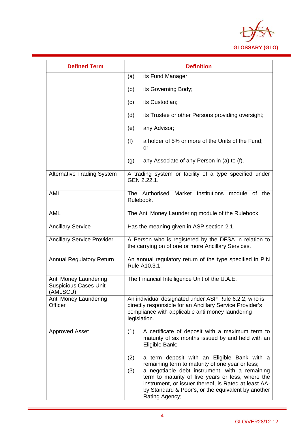

| <b>Defined Term</b>                                               | <b>Definition</b>                                                                                                                                                                                                                                                                                                                                   |
|-------------------------------------------------------------------|-----------------------------------------------------------------------------------------------------------------------------------------------------------------------------------------------------------------------------------------------------------------------------------------------------------------------------------------------------|
|                                                                   | its Fund Manager;<br>(a)                                                                                                                                                                                                                                                                                                                            |
|                                                                   | its Governing Body;<br>(b)                                                                                                                                                                                                                                                                                                                          |
|                                                                   | its Custodian;<br>(c)                                                                                                                                                                                                                                                                                                                               |
|                                                                   | its Trustee or other Persons providing oversight;<br>(d)                                                                                                                                                                                                                                                                                            |
|                                                                   | any Advisor;<br>(e)                                                                                                                                                                                                                                                                                                                                 |
|                                                                   | (f)<br>a holder of 5% or more of the Units of the Fund;<br>or                                                                                                                                                                                                                                                                                       |
|                                                                   | (g)<br>any Associate of any Person in (a) to (f).                                                                                                                                                                                                                                                                                                   |
| <b>Alternative Trading System</b>                                 | A trading system or facility of a type specified under<br>GEN 2.22.1.                                                                                                                                                                                                                                                                               |
| AMI                                                               | Institutions<br>Authorised<br>Market<br>module<br>of the<br><b>The</b><br>Rulebook.                                                                                                                                                                                                                                                                 |
| <b>AML</b>                                                        | The Anti Money Laundering module of the Rulebook.                                                                                                                                                                                                                                                                                                   |
| <b>Ancillary Service</b>                                          | Has the meaning given in ASP section 2.1.                                                                                                                                                                                                                                                                                                           |
| <b>Ancillary Service Provider</b>                                 | A Person who is registered by the DFSA in relation to<br>the carrying on of one or more Ancillary Services.                                                                                                                                                                                                                                         |
| <b>Annual Regulatory Return</b>                                   | An annual regulatory return of the type specified in PIN<br>Rule A10.3.1.                                                                                                                                                                                                                                                                           |
| Anti Money Laundering<br><b>Suspicious Cases Unit</b><br>(AMLSCU) | The Financial Intelligence Unit of the U.A.E.                                                                                                                                                                                                                                                                                                       |
| Anti Money Laundering<br>Officer                                  | An individual designated under ASP Rule 6.2.2, who is<br>directly responsible for an Ancillary Service Provider's<br>compliance with applicable anti money laundering<br>legislation.                                                                                                                                                               |
| <b>Approved Asset</b>                                             | (1)<br>A certificate of deposit with a maximum term to<br>maturity of six months issued by and held with an<br>Eligible Bank;                                                                                                                                                                                                                       |
|                                                                   | (2)<br>a term deposit with an Eligible Bank with a<br>remaining term to maturity of one year or less;<br>a negotiable debt instrument, with a remaining<br>(3)<br>term to maturity of five years or less, where the<br>instrument, or issuer thereof, is Rated at least AA-<br>by Standard & Poor's, or the equivalent by another<br>Rating Agency; |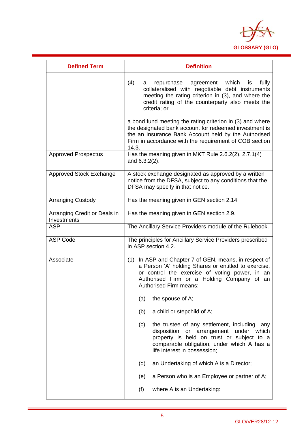

| <b>Defined Term</b>                         | <b>Definition</b>                                                                                                                                                                                                                              |
|---------------------------------------------|------------------------------------------------------------------------------------------------------------------------------------------------------------------------------------------------------------------------------------------------|
|                                             | (4)<br>repurchase agreement which<br>fully<br>is<br>a<br>collateralised with negotiable debt instruments<br>meeting the rating criterion in (3), and where the<br>credit rating of the counterparty also meets the<br>criteria; or             |
|                                             | a bond fund meeting the rating criterion in (3) and where<br>the designated bank account for redeemed investment is<br>the an Insurance Bank Account held by the Authorised<br>Firm in accordance with the requirement of COB section<br>14.3. |
| <b>Approved Prospectus</b>                  | Has the meaning given in MKT Rule 2.6.2(2), 2.7.1(4)<br>and $6.3.2(2)$ .                                                                                                                                                                       |
| <b>Approved Stock Exchange</b>              | A stock exchange designated as approved by a written<br>notice from the DFSA, subject to any conditions that the<br>DFSA may specify in that notice.                                                                                           |
| <b>Arranging Custody</b>                    | Has the meaning given in GEN section 2.14.                                                                                                                                                                                                     |
| Arranging Credit or Deals in<br>Investments | Has the meaning given in GEN section 2.9.                                                                                                                                                                                                      |
| <b>ASP</b>                                  | The Ancillary Service Providers module of the Rulebook.                                                                                                                                                                                        |
| <b>ASP Code</b>                             | The principles for Ancillary Service Providers prescribed<br>in ASP section 4.2.                                                                                                                                                               |
| Associate                                   | (1) In ASP and Chapter 7 of GEN, means, in respect of<br>a Person 'A' holding Shares or entitled to exercise,<br>or control the exercise of voting power, in an<br>Authorised Firm or a Holding Company of an<br>Authorised Firm means:        |
|                                             | the spouse of A;<br>(a)                                                                                                                                                                                                                        |
|                                             | a child or stepchild of A;<br>(b)                                                                                                                                                                                                              |
|                                             | the trustee of any settlement, including<br>(c)<br>any<br>disposition<br>or arrangement<br>under<br>which<br>property is held on trust or subject to a<br>comparable obligation, under which A has a<br>life interest in possession;           |
|                                             | (d)<br>an Undertaking of which A is a Director;                                                                                                                                                                                                |
|                                             | a Person who is an Employee or partner of A;<br>(e)                                                                                                                                                                                            |
|                                             | where A is an Undertaking:<br>(f)                                                                                                                                                                                                              |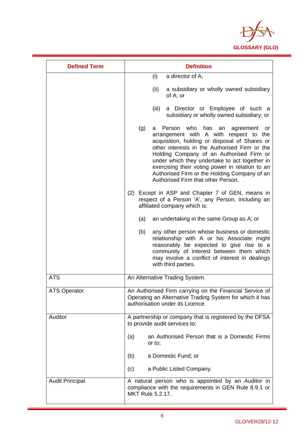

| <b>Defined Term</b>    | <b>Definition</b>                                                                                                                                                                                                                                                                                                                                                                                                                          |
|------------------------|--------------------------------------------------------------------------------------------------------------------------------------------------------------------------------------------------------------------------------------------------------------------------------------------------------------------------------------------------------------------------------------------------------------------------------------------|
|                        | (i)<br>a director of A;                                                                                                                                                                                                                                                                                                                                                                                                                    |
|                        | (ii)<br>a subsidiary or wholly owned subsidiary<br>of A; or                                                                                                                                                                                                                                                                                                                                                                                |
|                        | (iii)<br>a Director or Employee of such a<br>subsidiary or wholly owned subsidiary; or                                                                                                                                                                                                                                                                                                                                                     |
|                        | who<br>(g)<br>Person<br>has an<br>agreement<br>a<br>or -<br>arrangement with A with respect to the<br>acquisition, holding or disposal of Shares or<br>other interests in the Authorised Firm or the<br>Holding Company of an Authorised Firm or<br>under which they undertake to act together in<br>exercising their voting power in relation to an<br>Authorised Firm or the Holding Company of an<br>Authorised Firm that other Person. |
|                        | (2) Except in ASP and Chapter 7 of GEN, means in<br>respect of a Person 'A', any Person, including an<br>affiliated company which is:                                                                                                                                                                                                                                                                                                      |
|                        | (a)<br>an undertaking in the same Group as A; or                                                                                                                                                                                                                                                                                                                                                                                           |
|                        | (b)<br>any other person whose business or domestic<br>relationship with A or his Associate might<br>reasonably be expected to give rise to a<br>community of interest between them which<br>may involve a conflict of interest in dealings<br>with third parties.                                                                                                                                                                          |
| <b>ATS</b>             | An Alternative Trading System.                                                                                                                                                                                                                                                                                                                                                                                                             |
| <b>ATS Operator</b>    | An Authorised Firm carrying on the Financial Service of<br>Operating an Alternative Trading System for which it has<br>authorisation under its Licence.                                                                                                                                                                                                                                                                                    |
| Auditor                | A partnership or company that is registered by the DFSA<br>to provide audit services to:                                                                                                                                                                                                                                                                                                                                                   |
|                        | an Authorised Person that is a Domestic Firms<br>(a)<br>or to;                                                                                                                                                                                                                                                                                                                                                                             |
|                        | a Domestic Fund; or<br>(b)                                                                                                                                                                                                                                                                                                                                                                                                                 |
|                        | a Public Listed Company.<br>(c)                                                                                                                                                                                                                                                                                                                                                                                                            |
| <b>Audit Principal</b> | A natural person who is appointed by an Auditor in<br>compliance with the requirements in GEN Rule 8.9.1 or<br><b>MKT Rule 5.2.17.</b>                                                                                                                                                                                                                                                                                                     |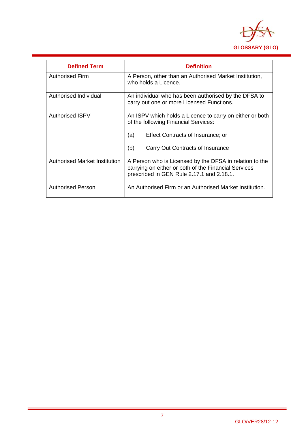

| <b>Defined Term</b>                  | <b>Definition</b>                                                                                                                                                                              |
|--------------------------------------|------------------------------------------------------------------------------------------------------------------------------------------------------------------------------------------------|
| <b>Authorised Firm</b>               | A Person, other than an Authorised Market Institution,<br>who holds a Licence.                                                                                                                 |
| Authorised Individual                | An individual who has been authorised by the DFSA to<br>carry out one or more Licensed Functions.                                                                                              |
| <b>Authorised ISPV</b>               | An ISPV which holds a Licence to carry on either or both<br>of the following Financial Services:<br>(a)<br><b>Effect Contracts of Insurance; or</b><br>(b)<br>Carry Out Contracts of Insurance |
|                                      |                                                                                                                                                                                                |
| <b>Authorised Market Institution</b> | A Person who is Licensed by the DFSA in relation to the<br>carrying on either or both of the Financial Services<br>prescribed in GEN Rule 2.17.1 and 2.18.1.                                   |
| <b>Authorised Person</b>             | An Authorised Firm or an Authorised Market Institution.                                                                                                                                        |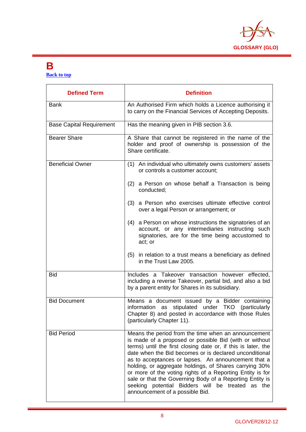

### **B**

**Back to top** 

| <b>Defined Term</b>             | <b>Definition</b>                                                                                                                                                                                                                                                                                                                                                                                                                                                                                                                                                         |
|---------------------------------|---------------------------------------------------------------------------------------------------------------------------------------------------------------------------------------------------------------------------------------------------------------------------------------------------------------------------------------------------------------------------------------------------------------------------------------------------------------------------------------------------------------------------------------------------------------------------|
| <b>Bank</b>                     | An Authorised Firm which holds a Licence authorising it<br>to carry on the Financial Services of Accepting Deposits.                                                                                                                                                                                                                                                                                                                                                                                                                                                      |
| <b>Base Capital Requirement</b> | Has the meaning given in PIB section 3.6.                                                                                                                                                                                                                                                                                                                                                                                                                                                                                                                                 |
| <b>Bearer Share</b>             | A Share that cannot be registered in the name of the<br>holder and proof of ownership is possession of the<br>Share certificate.                                                                                                                                                                                                                                                                                                                                                                                                                                          |
| <b>Beneficial Owner</b>         | (1) An individual who ultimately owns customers' assets<br>or controls a customer account;                                                                                                                                                                                                                                                                                                                                                                                                                                                                                |
|                                 | (2) a Person on whose behalf a Transaction is being<br>conducted;                                                                                                                                                                                                                                                                                                                                                                                                                                                                                                         |
|                                 | (3) a Person who exercises ultimate effective control<br>over a legal Person or arrangement; or                                                                                                                                                                                                                                                                                                                                                                                                                                                                           |
|                                 | (4) a Person on whose instructions the signatories of an<br>account, or any intermediaries instructing such<br>signatories, are for the time being accustomed to<br>act; or                                                                                                                                                                                                                                                                                                                                                                                               |
|                                 | (5)<br>in relation to a trust means a beneficiary as defined<br>in the Trust Law 2005.                                                                                                                                                                                                                                                                                                                                                                                                                                                                                    |
| <b>Bid</b>                      | Includes a Takeover transaction however effected,<br>including a reverse Takeover, partial bid, and also a bid<br>by a parent entity for Shares in its subsidiary.                                                                                                                                                                                                                                                                                                                                                                                                        |
| <b>Bid Document</b>             | Means a document issued by a Bidder containing<br>information as<br>stipulated<br>under TKO (particularly<br>Chapter 8) and posted in accordance with those Rules<br>(particularly Chapter 11).                                                                                                                                                                                                                                                                                                                                                                           |
| <b>Bid Period</b>               | Means the period from the time when an announcement<br>is made of a proposed or possible Bid (with or without<br>terms) until the first closing date or, if this is later, the<br>date when the Bid becomes or is declared unconditional<br>as to acceptances or lapses. An announcement that a<br>holding, or aggregate holdings, of Shares carrying 30%<br>or more of the voting rights of a Reporting Entity is for<br>sale or that the Governing Body of a Reporting Entity is<br>seeking potential Bidders will be treated as the<br>announcement of a possible Bid. |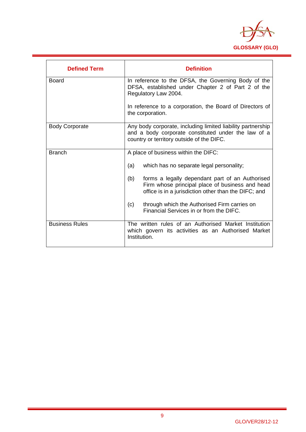

| <b>Defined Term</b>   | <b>Definition</b>                                                                                                                                                 |
|-----------------------|-------------------------------------------------------------------------------------------------------------------------------------------------------------------|
| <b>Board</b>          | In reference to the DFSA, the Governing Body of the<br>DFSA, established under Chapter 2 of Part 2 of the<br>Regulatory Law 2004.                                 |
|                       | In reference to a corporation, the Board of Directors of<br>the corporation.                                                                                      |
| <b>Body Corporate</b> | Any body corporate, including limited liability partnership<br>and a body corporate constituted under the law of a<br>country or territory outside of the DIFC.   |
| <b>Branch</b>         | A place of business within the DIFC:                                                                                                                              |
|                       | (a)<br>which has no separate legal personality;                                                                                                                   |
|                       | forms a legally dependant part of an Authorised<br>(b)<br>Firm whose principal place of business and head<br>office is in a jurisdiction other than the DIFC; and |
|                       | (c)<br>through which the Authorised Firm carries on<br>Financial Services in or from the DIFC.                                                                    |
| <b>Business Rules</b> | The written rules of an Authorised Market Institution<br>which govern its activities as an Authorised Market<br>Institution.                                      |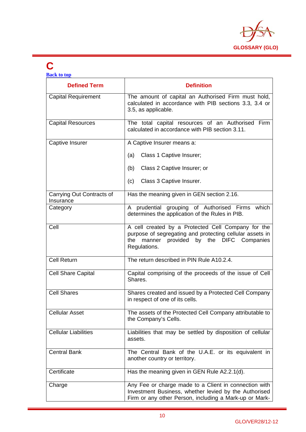

#### **C Back to top**

| <b>Defined Term</b>                    | <b>Definition</b>                                                                                                                                                                 |
|----------------------------------------|-----------------------------------------------------------------------------------------------------------------------------------------------------------------------------------|
| <b>Capital Requirement</b>             | The amount of capital an Authorised Firm must hold,<br>calculated in accordance with PIB sections 3.3, 3.4 or<br>3.5, as applicable.                                              |
| <b>Capital Resources</b>               | The total capital resources of an Authorised Firm<br>calculated in accordance with PIB section 3.11.                                                                              |
| Captive Insurer                        | A Captive Insurer means a:                                                                                                                                                        |
|                                        | Class 1 Captive Insurer;<br>(a)                                                                                                                                                   |
|                                        | Class 2 Captive Insurer; or<br>(b)                                                                                                                                                |
|                                        | Class 3 Captive Insurer.<br>(c)                                                                                                                                                   |
| Carrying Out Contracts of<br>Insurance | Has the meaning given in GEN section 2.16.                                                                                                                                        |
| Category                               | A prudential grouping of Authorised Firms which<br>determines the application of the Rules in PIB.                                                                                |
| Cell                                   | A cell created by a Protected Cell Company for the<br>purpose of segregating and protecting cellular assets in<br>provided by the DIFC Companies<br>the<br>manner<br>Regulations. |
| <b>Cell Return</b>                     | The return described in PIN Rule A10.2.4.                                                                                                                                         |
| <b>Cell Share Capital</b>              | Capital comprising of the proceeds of the issue of Cell<br>Shares.                                                                                                                |
| <b>Cell Shares</b>                     | Shares created and issued by a Protected Cell Company<br>in respect of one of its cells.                                                                                          |
| <b>Cellular Asset</b>                  | The assets of the Protected Cell Company attributable to<br>the Company's Cells.                                                                                                  |
| <b>Cellular Liabilities</b>            | Liabilities that may be settled by disposition of cellular<br>assets.                                                                                                             |
| <b>Central Bank</b>                    | The Central Bank of the U.A.E. or its equivalent in<br>another country or territory.                                                                                              |
| Certificate                            | Has the meaning given in GEN Rule A2.2.1(d).                                                                                                                                      |
| Charge                                 | Any Fee or charge made to a Client in connection with<br>Investment Business, whether levied by the Authorised<br>Firm or any other Person, including a Mark-up or Mark-          |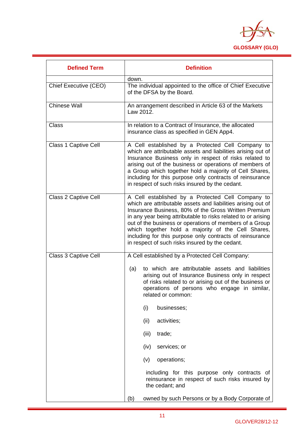

| <b>Defined Term</b>   | <b>Definition</b>                                                                                                                                                                                                                                                                                                                                                                                                                                                                                                                                                                            |
|-----------------------|----------------------------------------------------------------------------------------------------------------------------------------------------------------------------------------------------------------------------------------------------------------------------------------------------------------------------------------------------------------------------------------------------------------------------------------------------------------------------------------------------------------------------------------------------------------------------------------------|
|                       | down.                                                                                                                                                                                                                                                                                                                                                                                                                                                                                                                                                                                        |
| Chief Executive (CEO) | The individual appointed to the office of Chief Executive<br>of the DFSA by the Board.                                                                                                                                                                                                                                                                                                                                                                                                                                                                                                       |
| <b>Chinese Wall</b>   | An arrangement described in Article 63 of the Markets<br>Law 2012.                                                                                                                                                                                                                                                                                                                                                                                                                                                                                                                           |
| <b>Class</b>          | In relation to a Contract of Insurance, the allocated<br>insurance class as specified in GEN App4.                                                                                                                                                                                                                                                                                                                                                                                                                                                                                           |
| Class 1 Captive Cell  | A Cell established by a Protected Cell Company to<br>which are attributable assets and liabilities arising out of<br>Insurance Business only in respect of risks related to<br>arising out of the business or operations of members of<br>a Group which together hold a majority of Cell Shares,<br>including for this purpose only contracts of reinsurance<br>in respect of such risks insured by the cedant.                                                                                                                                                                              |
| Class 2 Captive Cell  | A Cell established by a Protected Cell Company to<br>which are attributable assets and liabilities arising out of<br>Insurance Business, 80% of the Gross Written Premium<br>in any year being attributable to risks related to or arising<br>out of the business or operations of members of a Group<br>which together hold a majority of the Cell Shares,<br>including for this purpose only contracts of reinsurance<br>in respect of such risks insured by the cedant.                                                                                                                   |
| Class 3 Captive Cell  | A Cell established by a Protected Cell Company:<br>to which are attributable assets and liabilities<br>(a)<br>arising out of Insurance Business only in respect<br>of risks related to or arising out of the business or<br>operations of persons who engage in similar,<br>related or common:<br>(i)<br>businesses;<br>(ii)<br>activities;<br>(iii)<br>trade;<br>(iv)<br>services; or<br>(v)<br>operations;<br>including for this purpose only contracts of<br>reinsurance in respect of such risks insured by<br>the cedant; and<br>(b)<br>owned by such Persons or by a Body Corporate of |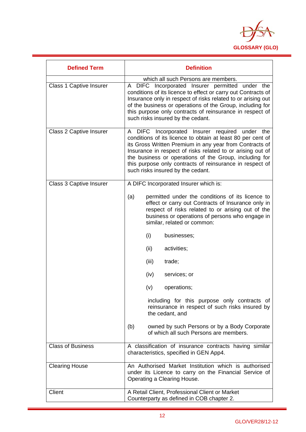

| <b>Defined Term</b>            | <b>Definition</b>                                                                                                                                                                                                                                                                                                                                                                                 |
|--------------------------------|---------------------------------------------------------------------------------------------------------------------------------------------------------------------------------------------------------------------------------------------------------------------------------------------------------------------------------------------------------------------------------------------------|
| <b>Class 1 Captive Insurer</b> | which all such Persons are members.<br>A DIFC Incorporated Insurer permitted under the<br>conditions of its licence to effect or carry out Contracts of<br>Insurance only in respect of risks related to or arising out<br>of the business or operations of the Group, including for<br>this purpose only contracts of reinsurance in respect of<br>such risks insured by the cedant.             |
| Class 2 Captive Insurer        | A DIFC Incorporated Insurer required under the<br>conditions of its licence to obtain at least 80 per cent of<br>its Gross Written Premium in any year from Contracts of<br>Insurance in respect of risks related to or arising out of<br>the business or operations of the Group, including for<br>this purpose only contracts of reinsurance in respect of<br>such risks insured by the cedant. |
| <b>Class 3 Captive Insurer</b> | A DIFC Incorporated Insurer which is:                                                                                                                                                                                                                                                                                                                                                             |
|                                | (a)<br>permitted under the conditions of its licence to<br>effect or carry out Contracts of Insurance only in<br>respect of risks related to or arising out of the<br>business or operations of persons who engage in<br>similar, related or common:                                                                                                                                              |
|                                | (i)<br>businesses;                                                                                                                                                                                                                                                                                                                                                                                |
|                                | (ii)<br>activities;                                                                                                                                                                                                                                                                                                                                                                               |
|                                | (iii)<br>trade;                                                                                                                                                                                                                                                                                                                                                                                   |
|                                | (iv)<br>services; or                                                                                                                                                                                                                                                                                                                                                                              |
|                                | (v)<br>operations;                                                                                                                                                                                                                                                                                                                                                                                |
|                                | including for this purpose only contracts of<br>reinsurance in respect of such risks insured by<br>the cedant, and                                                                                                                                                                                                                                                                                |
|                                | owned by such Persons or by a Body Corporate<br>(b)<br>of which all such Persons are members.                                                                                                                                                                                                                                                                                                     |
| <b>Class of Business</b>       | A classification of insurance contracts having similar<br>characteristics, specified in GEN App4.                                                                                                                                                                                                                                                                                                 |
| <b>Clearing House</b>          | An Authorised Market Institution which is authorised<br>under its Licence to carry on the Financial Service of<br>Operating a Clearing House.                                                                                                                                                                                                                                                     |
| Client                         | A Retail Client, Professional Client or Market<br>Counterparty as defined in COB chapter 2.                                                                                                                                                                                                                                                                                                       |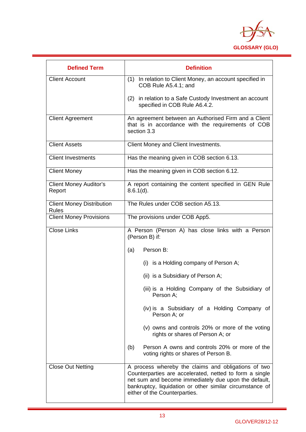

| <b>Defined Term</b>                              | <b>Definition</b>                                                                                                                                                                                                                                                   |
|--------------------------------------------------|---------------------------------------------------------------------------------------------------------------------------------------------------------------------------------------------------------------------------------------------------------------------|
| <b>Client Account</b>                            | In relation to Client Money, an account specified in<br>(1)<br>COB Rule A5.4.1; and                                                                                                                                                                                 |
|                                                  | (2) in relation to a Safe Custody Investment an account<br>specified in COB Rule A6.4.2.                                                                                                                                                                            |
| <b>Client Agreement</b>                          | An agreement between an Authorised Firm and a Client<br>that is in accordance with the requirements of COB<br>section 3.3                                                                                                                                           |
| <b>Client Assets</b>                             | Client Money and Client Investments.                                                                                                                                                                                                                                |
| <b>Client Investments</b>                        | Has the meaning given in COB section 6.13.                                                                                                                                                                                                                          |
| <b>Client Money</b>                              | Has the meaning given in COB section 6.12.                                                                                                                                                                                                                          |
| <b>Client Money Auditor's</b><br>Report          | A report containing the content specified in GEN Rule<br>$8.6.1(d)$ .                                                                                                                                                                                               |
| <b>Client Money Distribution</b><br><b>Rules</b> | The Rules under COB section A5.13.                                                                                                                                                                                                                                  |
| <b>Client Money Provisions</b>                   | The provisions under COB App5.                                                                                                                                                                                                                                      |
| <b>Close Links</b>                               | A Person (Person A) has close links with a Person<br>(Person B) if:                                                                                                                                                                                                 |
|                                                  | Person B:<br>(a)                                                                                                                                                                                                                                                    |
|                                                  | (i) is a Holding company of Person A;                                                                                                                                                                                                                               |
|                                                  | (ii) is a Subsidiary of Person A;                                                                                                                                                                                                                                   |
|                                                  | (iii) is a Holding Company of the Subsidiary of<br>Person A;                                                                                                                                                                                                        |
|                                                  | (iv) is a Subsidiary of a Holding Company of<br>Person A; or                                                                                                                                                                                                        |
|                                                  | (v) owns and controls 20% or more of the voting<br>rights or shares of Person A; or                                                                                                                                                                                 |
|                                                  | Person A owns and controls 20% or more of the<br>(b)<br>voting rights or shares of Person B.                                                                                                                                                                        |
| <b>Close Out Netting</b>                         | A process whereby the claims and obligations of two<br>Counterparties are accelerated, netted to form a single<br>net sum and become immediately due upon the default,<br>bankruptcy, liquidation or other similar circumstance of<br>either of the Counterparties. |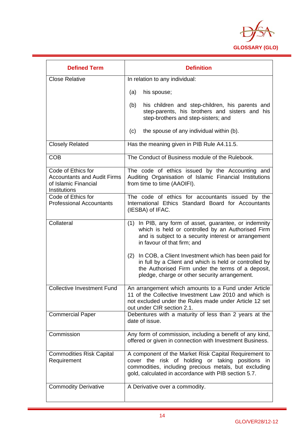

| <b>Defined Term</b>                                                                              | <b>Definition</b>                                                                                                                                                                                                          |
|--------------------------------------------------------------------------------------------------|----------------------------------------------------------------------------------------------------------------------------------------------------------------------------------------------------------------------------|
| <b>Close Relative</b>                                                                            | In relation to any individual:                                                                                                                                                                                             |
|                                                                                                  | (a)<br>his spouse;                                                                                                                                                                                                         |
|                                                                                                  | (b)<br>his children and step-children, his parents and<br>step-parents, his brothers and sisters and his<br>step-brothers and step-sisters; and                                                                            |
|                                                                                                  | the spouse of any individual within (b).<br>(c)                                                                                                                                                                            |
| <b>Closely Related</b>                                                                           | Has the meaning given in PIB Rule A4.11.5.                                                                                                                                                                                 |
| <b>COB</b>                                                                                       | The Conduct of Business module of the Rulebook.                                                                                                                                                                            |
| Code of Ethics for<br><b>Accountants and Audit Firms</b><br>of Islamic Financial<br>Institutions | The code of ethics issued by the Accounting and<br>Auditing Organisation of Islamic Financial Institutions<br>from time to time (AAOIFI).                                                                                  |
| Code of Ethics for<br><b>Professional Accountants</b>                                            | The code of ethics for accountants issued by the<br>International Ethics Standard Board for Accountants<br>(IESBA) of IFAC.                                                                                                |
| Collateral                                                                                       | In PIB, any form of asset, guarantee, or indemnity<br>(1)<br>which is held or controlled by an Authorised Firm<br>and is subject to a security interest or arrangement<br>in favour of that firm; and                      |
|                                                                                                  | In COB, a Client Investment which has been paid for<br>(2)<br>in full by a Client and which is held or controlled by<br>the Authorised Firm under the terms of a deposit,<br>pledge, charge or other security arrangement. |
| <b>Collective Investment Fund</b>                                                                | An arrangement which amounts to a Fund under Article<br>11 of the Collective Investment Law 2010 and which is<br>not excluded under the Rules made under Article 12 set<br>out under CIR section 2.1.                      |
| <b>Commercial Paper</b>                                                                          | Debentures with a maturity of less than 2 years at the<br>date of issue.                                                                                                                                                   |
| Commission                                                                                       | Any form of commission, including a benefit of any kind,<br>offered or given in connection with Investment Business.                                                                                                       |
| <b>Commodities Risk Capital</b><br>Requirement                                                   | A component of the Market Risk Capital Requirement to<br>cover the risk of holding or taking positions in<br>commodities, including precious metals, but excluding<br>gold, calculated in accordance with PIB section 5.7. |
| <b>Commodity Derivative</b>                                                                      | A Derivative over a commodity.                                                                                                                                                                                             |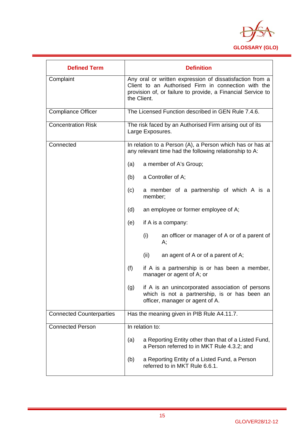

| <b>Defined Term</b>             | <b>Definition</b>                                                                                                                                                                             |
|---------------------------------|-----------------------------------------------------------------------------------------------------------------------------------------------------------------------------------------------|
| Complaint                       | Any oral or written expression of dissatisfaction from a<br>Client to an Authorised Firm in connection with the<br>provision of, or failure to provide, a Financial Service to<br>the Client. |
| <b>Compliance Officer</b>       | The Licensed Function described in GEN Rule 7.4.6.                                                                                                                                            |
| <b>Concentration Risk</b>       | The risk faced by an Authorised Firm arising out of its<br>Large Exposures.                                                                                                                   |
| Connected                       | In relation to a Person (A), a Person which has or has at<br>any relevant time had the following relationship to A:                                                                           |
|                                 | a member of A's Group;<br>(a)                                                                                                                                                                 |
|                                 | a Controller of A;<br>(b)                                                                                                                                                                     |
|                                 | a member of a partnership of which A is a<br>(c)<br>member;                                                                                                                                   |
|                                 | (d)<br>an employee or former employee of A;                                                                                                                                                   |
|                                 | (e)<br>if A is a company:                                                                                                                                                                     |
|                                 | (i)<br>an officer or manager of A or of a parent of<br>А;                                                                                                                                     |
|                                 | (ii)<br>an agent of A or of a parent of A;                                                                                                                                                    |
|                                 | (f)<br>if A is a partnership is or has been a member,<br>manager or agent of A; or                                                                                                            |
|                                 | if A is an unincorporated association of persons<br>(g)<br>which is not a partnership, is or has been an<br>officer, manager or agent of A.                                                   |
| <b>Connected Counterparties</b> | Has the meaning given in PIB Rule A4.11.7.                                                                                                                                                    |
| <b>Connected Person</b>         | In relation to:                                                                                                                                                                               |
|                                 | a Reporting Entity other than that of a Listed Fund,<br>(a)<br>a Person referred to in MKT Rule 4.3.2; and                                                                                    |
|                                 | a Reporting Entity of a Listed Fund, a Person<br>(b)<br>referred to in MKT Rule 6.6.1.                                                                                                        |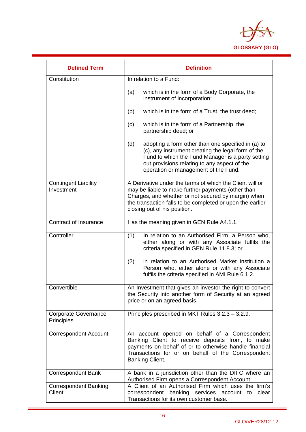

| <b>Defined Term</b>                       | <b>Definition</b>                                                                                                                                                                                                                                                  |
|-------------------------------------------|--------------------------------------------------------------------------------------------------------------------------------------------------------------------------------------------------------------------------------------------------------------------|
| Constitution                              | In relation to a Fund:                                                                                                                                                                                                                                             |
|                                           | (a)<br>which is in the form of a Body Corporate, the<br>instrument of incorporation;                                                                                                                                                                               |
|                                           | which is in the form of a Trust, the trust deed;<br>(b)                                                                                                                                                                                                            |
|                                           | (c)<br>which is in the form of a Partnership, the<br>partnership deed; or                                                                                                                                                                                          |
|                                           | (d)<br>adopting a form other than one specified in (a) to<br>(c), any instrument creating the legal form of the<br>Fund to which the Fund Manager is a party setting<br>out provisions relating to any aspect of the<br>operation or management of the Fund.       |
| <b>Contingent Liability</b><br>Investment | A Derivative under the terms of which the Client will or<br>may be liable to make further payments (other than<br>Charges, and whether or not secured by margin) when<br>the transaction falls to be completed or upon the earlier<br>closing out of his position. |
| Contract of Insurance                     | Has the meaning given in GEN Rule A4.1.1.                                                                                                                                                                                                                          |
| Controller                                | In relation to an Authorised Firm, a Person who,<br>(1)<br>either along or with any Associate fulfils the<br>criteria specified in GEN Rule 11.8.3; or                                                                                                             |
|                                           | (2)<br>in relation to an Authorised Market Institution a<br>Person who, either alone or with any Associate<br>fulfils the criteria specified in AMI Rule 6.1.2.                                                                                                    |
| Convertible                               | An Investment that gives an investor the right to convert<br>the Security into another form of Security at an agreed<br>price or on an agreed basis.                                                                                                               |
| <b>Corporate Governance</b><br>Principles | Principles prescribed in MKT Rules 3.2.3 - 3.2.9.                                                                                                                                                                                                                  |
| <b>Correspondent Account</b>              | An account opened on behalf of a Correspondent<br>Banking Client to receive deposits from, to make<br>payments on behalf of or to otherwise handle financial<br>Transactions for or on behalf of the Correspondent<br>Banking Client.                              |
| <b>Correspondent Bank</b>                 | A bank in a jurisdiction other than the DIFC where an<br>Authorised Firm opens a Correspondent Account.                                                                                                                                                            |
| <b>Correspondent Banking</b><br>Client    | A Client of an Authorised Firm which uses the firm's<br>correspondent banking services account to<br>clear<br>Transactions for its own customer base.                                                                                                              |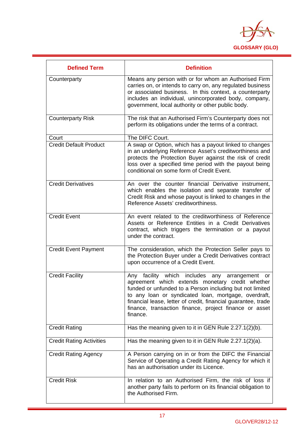

| <b>Defined Term</b>             | <b>Definition</b>                                                                                                                                                                                                                                                                                                                                                           |
|---------------------------------|-----------------------------------------------------------------------------------------------------------------------------------------------------------------------------------------------------------------------------------------------------------------------------------------------------------------------------------------------------------------------------|
| Counterparty                    | Means any person with or for whom an Authorised Firm<br>carries on, or intends to carry on, any regulated business<br>or associated business. In this context, a counterparty<br>includes an individual, unincorporated body, company,<br>government, local authority or other public body.                                                                                 |
| <b>Counterparty Risk</b>        | The risk that an Authorised Firm's Counterparty does not<br>perform its obligations under the terms of a contract.                                                                                                                                                                                                                                                          |
| Court                           | The DIFC Court.                                                                                                                                                                                                                                                                                                                                                             |
| <b>Credit Default Product</b>   | A swap or Option, which has a payout linked to changes<br>in an underlying Reference Asset's creditworthiness and<br>protects the Protection Buyer against the risk of credit<br>loss over a specified time period with the payout being<br>conditional on some form of Credit Event.                                                                                       |
| <b>Credit Derivatives</b>       | An over the counter financial Derivative instrument,<br>which enables the isolation and separate transfer of<br>Credit Risk and whose payout is linked to changes in the<br>Reference Assets' creditworthiness.                                                                                                                                                             |
| <b>Credit Event</b>             | An event related to the creditworthiness of Reference<br>Assets or Reference Entities in a Credit Derivatives<br>contract, which triggers the termination or a payout<br>under the contract.                                                                                                                                                                                |
| <b>Credit Event Payment</b>     | The consideration, which the Protection Seller pays to<br>the Protection Buyer under a Credit Derivatives contract<br>upon occurrence of a Credit Event.                                                                                                                                                                                                                    |
| <b>Credit Facility</b>          | which includes<br>facility<br>Any<br>any<br>arrangement<br>or<br>agreement which extends monetary credit whether<br>funded or unfunded to a Person including but not limited<br>to any loan or syndicated loan, mortgage, overdraft,<br>financial lease, letter of credit, financial guarantee, trade<br>finance, transaction finance, project finance or asset<br>finance. |
| <b>Credit Rating</b>            | Has the meaning given to it in GEN Rule 2.27.1(2)(b).                                                                                                                                                                                                                                                                                                                       |
| <b>Credit Rating Activities</b> | Has the meaning given to it in GEN Rule 2.27.1(2)(a).                                                                                                                                                                                                                                                                                                                       |
| <b>Credit Rating Agency</b>     | A Person carrying on in or from the DIFC the Financial<br>Service of Operating a Credit Rating Agency for which it<br>has an authorisation under its Licence.                                                                                                                                                                                                               |
| <b>Credit Risk</b>              | In relation to an Authorised Firm, the risk of loss if<br>another party fails to perform on its financial obligation to<br>the Authorised Firm.                                                                                                                                                                                                                             |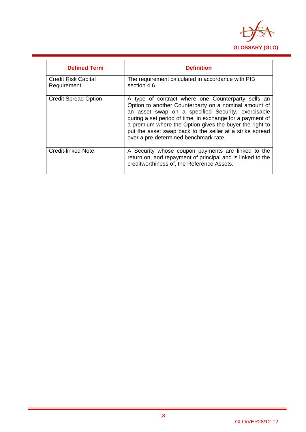

| <b>Defined Term</b>                       | <b>Definition</b>                                                                                                                                                                                                                                                                                                                                                                              |
|-------------------------------------------|------------------------------------------------------------------------------------------------------------------------------------------------------------------------------------------------------------------------------------------------------------------------------------------------------------------------------------------------------------------------------------------------|
| <b>Credit Risk Capital</b><br>Requirement | The requirement calculated in accordance with PIB<br>section 4.6.                                                                                                                                                                                                                                                                                                                              |
| <b>Credit Spread Option</b>               | A type of contract where one Counterparty sells an<br>Option to another Counterparty on a nominal amount of<br>an asset swap on a specified Security, exercisable<br>during a set period of time, in exchange for a payment of<br>a premium where the Option gives the buyer the right to<br>put the asset swap back to the seller at a strike spread<br>over a pre-determined benchmark rate. |
| <b>Credit-linked Note</b>                 | A Security whose coupon payments are linked to the<br>return on, and repayment of principal and is linked to the<br>creditworthiness of, the Reference Assets.                                                                                                                                                                                                                                 |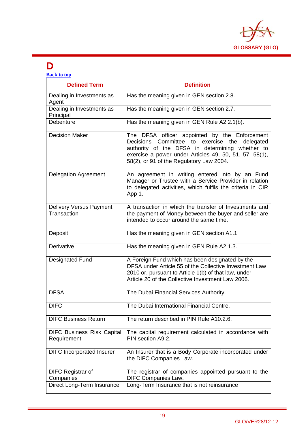

### **D**

| <b>Back to top</b>                               |                                                                                                                                                                                                                                                            |  |
|--------------------------------------------------|------------------------------------------------------------------------------------------------------------------------------------------------------------------------------------------------------------------------------------------------------------|--|
| <b>Defined Term</b>                              | <b>Definition</b>                                                                                                                                                                                                                                          |  |
| Dealing in Investments as<br>Agent               | Has the meaning given in GEN section 2.8.                                                                                                                                                                                                                  |  |
| Dealing in Investments as<br>Principal           | Has the meaning given in GEN section 2.7.                                                                                                                                                                                                                  |  |
| Debenture                                        | Has the meaning given in GEN Rule A2.2.1(b).                                                                                                                                                                                                               |  |
| <b>Decision Maker</b>                            | The DFSA officer appointed by the Enforcement<br>Decisions Committee to exercise the<br>delegated<br>authority of the DFSA in determining whether to<br>exercise a power under Articles 49, 50, 51, 57, 58(1),<br>58(2), or 91 of the Regulatory Law 2004. |  |
| <b>Delegation Agreement</b>                      | An agreement in writing entered into by an Fund<br>Manager or Trustee with a Service Provider in relation<br>to delegated activities, which fulfils the criteria in CIR<br>App 1.                                                                          |  |
| <b>Delivery Versus Payment</b><br>Transaction    | A transaction in which the transfer of Investments and<br>the payment of Money between the buyer and seller are<br>intended to occur around the same time.                                                                                                 |  |
| Deposit                                          | Has the meaning given in GEN section A1.1.                                                                                                                                                                                                                 |  |
| Derivative                                       | Has the meaning given in GEN Rule A2.1.3.                                                                                                                                                                                                                  |  |
| <b>Designated Fund</b>                           | A Foreign Fund which has been designated by the<br>DFSA under Article 55 of the Collective Investment Law<br>2010 or, pursuant to Article 1(b) of that law, under<br>Article 20 of the Collective Investment Law 2006.                                     |  |
| <b>DFSA</b>                                      | The Dubai Financial Services Authority.                                                                                                                                                                                                                    |  |
| <b>DIFC</b>                                      | The Dubai International Financial Centre.                                                                                                                                                                                                                  |  |
| <b>DIFC Business Return</b>                      | The return described in PIN Rule A10.2.6.                                                                                                                                                                                                                  |  |
| <b>DIFC Business Risk Capital</b><br>Requirement | The capital requirement calculated in accordance with<br>PIN section A9.2.                                                                                                                                                                                 |  |
| <b>DIFC</b> Incorporated Insurer                 | An Insurer that is a Body Corporate incorporated under<br>the DIFC Companies Law.                                                                                                                                                                          |  |
| <b>DIFC Registrar of</b><br>Companies            | The registrar of companies appointed pursuant to the<br>DIFC Companies Law.                                                                                                                                                                                |  |
| Direct Long-Term Insurance                       | Long-Term Insurance that is not reinsurance                                                                                                                                                                                                                |  |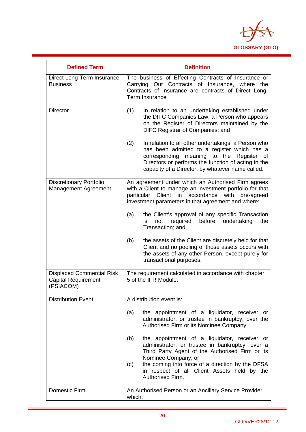

| <b>Defined Term</b>                                                         | <b>Definition</b>                                                                                                                                                                                                                                                                                              |
|-----------------------------------------------------------------------------|----------------------------------------------------------------------------------------------------------------------------------------------------------------------------------------------------------------------------------------------------------------------------------------------------------------|
| Direct Long-Term Insurance<br><b>Business</b>                               | The business of Effecting Contracts of Insurance or<br>Carrying Out Contracts of Insurance, where the<br>Contracts of Insurance are contracts of Direct Long-<br>Term Insurance                                                                                                                                |
| <b>Director</b>                                                             | (1)<br>In relation to an undertaking established under<br>the DIFC Companies Law, a Person who appears<br>on the Register of Directors maintained by the<br>DIFC Registrar of Companies; and                                                                                                                   |
|                                                                             | In relation to all other undertakings, a Person who<br>(2)<br>has been admitted to a register which has a<br>meaning<br>to the<br>corresponding<br>Register<br>of<br>Directors or performs the function of acting in the<br>capacity of a Director, by whatever name called.                                   |
| <b>Discretionary Portfolio</b><br>Management Agreement                      | An agreement under which an Authorised Firm agrees<br>with a Client to manage an investment portfolio for that<br>Client<br>in<br>accordance<br>with<br>particular<br>pre-agreed<br>investment parameters in that agreement and where:                                                                         |
|                                                                             | the Client's approval of any specific Transaction<br>(a)<br>required<br>before<br>undertaking<br>not<br>the<br>is.<br>Transaction; and                                                                                                                                                                         |
|                                                                             | (b)<br>the assets of the Client are discretely held for that<br>Client and no pooling of those assets occurs with<br>the assets of any other Person, except purely for<br>transactional purposes.                                                                                                              |
| <b>Displaced Commercial Risk</b><br><b>Capital Requirement</b><br>(PSIACOM) | The requirement calculated in accordance with chapter<br>5 of the IFR Module.                                                                                                                                                                                                                                  |
| <b>Distribution Event</b>                                                   | A distribution event is:                                                                                                                                                                                                                                                                                       |
|                                                                             | (a)<br>the appointment of a liquidator, receiver or<br>administrator, or trustee in bankruptcy, over the<br>Authorised Firm or its Nominee Company;                                                                                                                                                            |
|                                                                             | the appointment of a liquidator, receiver or<br>(b)<br>administrator, or trustee in bankruptcy, over a<br>Third Party Agent of the Authorised Firm or its<br>Nominee Company; or<br>the coming into force of a direction by the DFSA<br>(c)<br>in respect of all Client Assets held by the<br>Authorised Firm. |
| <b>Domestic Firm</b>                                                        | An Authorised Person or an Ancillary Service Provider<br>which:                                                                                                                                                                                                                                                |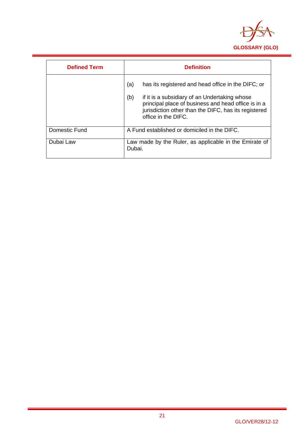

| <b>Defined Term</b> | <b>Definition</b>                                                                                                                                                                          |
|---------------------|--------------------------------------------------------------------------------------------------------------------------------------------------------------------------------------------|
|                     | (a)<br>has its registered and head office in the DIFC; or                                                                                                                                  |
|                     | (b)<br>if it is a subsidiary of an Undertaking whose<br>principal place of business and head office is in a<br>jurisdiction other than the DIFC, has its registered<br>office in the DIFC. |
| Domestic Fund       | A Fund established or domiciled in the DIFC.                                                                                                                                               |
| Dubai Law           | Law made by the Ruler, as applicable in the Emirate of<br>Dubai.                                                                                                                           |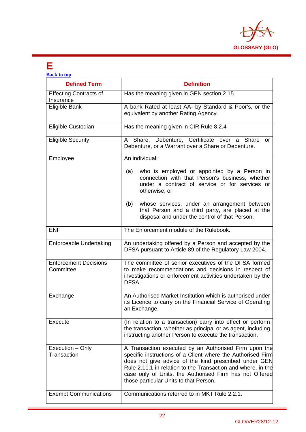

### **E**

H

| <b>Back to top</b>                         |                                                                                                                                                                                                                                                                                                                                                    |
|--------------------------------------------|----------------------------------------------------------------------------------------------------------------------------------------------------------------------------------------------------------------------------------------------------------------------------------------------------------------------------------------------------|
| <b>Defined Term</b>                        | <b>Definition</b>                                                                                                                                                                                                                                                                                                                                  |
| <b>Effecting Contracts of</b><br>Insurance | Has the meaning given in GEN section 2.15.                                                                                                                                                                                                                                                                                                         |
| Eligible Bank                              | A bank Rated at least AA- by Standard & Poor's, or the<br>equivalent by another Rating Agency.                                                                                                                                                                                                                                                     |
| Eligible Custodian                         | Has the meaning given in CIR Rule 8.2.4                                                                                                                                                                                                                                                                                                            |
| <b>Eligible Security</b>                   | Debenture, Certificate over a Share<br>Share,<br>A<br>or<br>Debenture, or a Warrant over a Share or Debenture.                                                                                                                                                                                                                                     |
| Employee                                   | An individual:                                                                                                                                                                                                                                                                                                                                     |
|                                            | who is employed or appointed by a Person in<br>(a)<br>connection with that Person's business, whether<br>under a contract of service or for services or<br>otherwise; or                                                                                                                                                                           |
|                                            | whose services, under an arrangement between<br>(b)<br>that Person and a third party, are placed at the<br>disposal and under the control of that Person.                                                                                                                                                                                          |
| <b>ENF</b>                                 | The Enforcement module of the Rulebook.                                                                                                                                                                                                                                                                                                            |
| <b>Enforceable Undertaking</b>             | An undertaking offered by a Person and accepted by the<br>DFSA pursuant to Article 89 of the Regulatory Law 2004.                                                                                                                                                                                                                                  |
| <b>Enforcement Decisions</b><br>Committee  | The committee of senior executives of the DFSA formed<br>to make recommendations and decisions in respect of<br>investigations or enforcement activities undertaken by the<br>DFSA.                                                                                                                                                                |
| Exchange                                   | An Authorised Market Institution which is authorised under<br>its Licence to carry on the Financial Service of Operating<br>an Exchange.                                                                                                                                                                                                           |
| Execute                                    | (In relation to a transaction) carry into effect or perform<br>the transaction, whether as principal or as agent, including<br>instructing another Person to execute the transaction.                                                                                                                                                              |
| Execution - Only<br>Transaction            | A Transaction executed by an Authorised Firm upon the<br>specific instructions of a Client where the Authorised Firm<br>does not give advice of the kind prescribed under GEN<br>Rule 2.11.1 in relation to the Transaction and where, in the<br>case only of Units, the Authorised Firm has not Offered<br>those particular Units to that Person. |
| <b>Exempt Communications</b>               | Communications referred to in MKT Rule 2.2.1.                                                                                                                                                                                                                                                                                                      |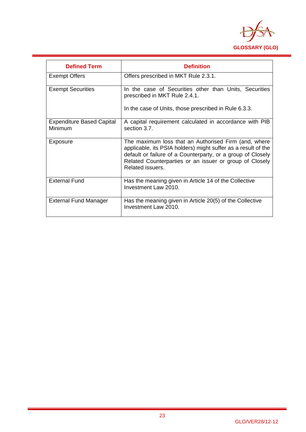

| <b>Defined Term</b>                         | <b>Definition</b>                                                                                                                                                                                                                                                   |
|---------------------------------------------|---------------------------------------------------------------------------------------------------------------------------------------------------------------------------------------------------------------------------------------------------------------------|
| <b>Exempt Offers</b>                        | Offers prescribed in MKT Rule 2.3.1.                                                                                                                                                                                                                                |
| <b>Exempt Securities</b>                    | In the case of Securities other than Units, Securities<br>prescribed in MKT Rule 2.4.1.                                                                                                                                                                             |
|                                             | In the case of Units, those prescribed in Rule 6.3.3.                                                                                                                                                                                                               |
| <b>Expenditure Based Capital</b><br>Minimum | A capital requirement calculated in accordance with PIB<br>section 3.7.                                                                                                                                                                                             |
| Exposure                                    | The maximum loss that an Authorised Firm (and, where<br>applicable, its PSIA holders) might suffer as a result of the<br>default or failure of a Counterparty, or a group of Closely<br>Related Counterparties or an issuer or group of Closely<br>Related issuers. |
| <b>External Fund</b>                        | Has the meaning given in Article 14 of the Collective<br>Investment Law 2010.                                                                                                                                                                                       |
| <b>External Fund Manager</b>                | Has the meaning given in Article 20(5) of the Collective<br>Investment Law 2010.                                                                                                                                                                                    |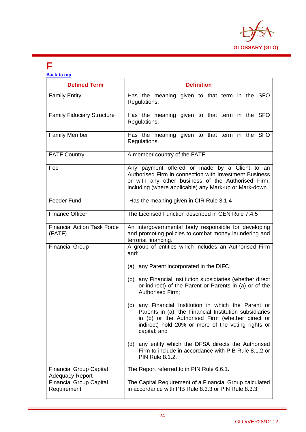

### **F**

| <b>Back to top</b>                                                                         |                                                                                                                                                                                                                                                                                                                                                                                                                                                                                                                                                                                                                                                |
|--------------------------------------------------------------------------------------------|------------------------------------------------------------------------------------------------------------------------------------------------------------------------------------------------------------------------------------------------------------------------------------------------------------------------------------------------------------------------------------------------------------------------------------------------------------------------------------------------------------------------------------------------------------------------------------------------------------------------------------------------|
| <b>Defined Term</b>                                                                        | <b>Definition</b>                                                                                                                                                                                                                                                                                                                                                                                                                                                                                                                                                                                                                              |
| <b>Family Entity</b>                                                                       | Has the meaning given to that term in the SFO<br>Regulations.                                                                                                                                                                                                                                                                                                                                                                                                                                                                                                                                                                                  |
| <b>Family Fiduciary Structure</b>                                                          | Has the meaning given to that term in the SFO<br>Regulations.                                                                                                                                                                                                                                                                                                                                                                                                                                                                                                                                                                                  |
| <b>Family Member</b>                                                                       | Has the meaning given to that term in the SFO<br>Regulations.                                                                                                                                                                                                                                                                                                                                                                                                                                                                                                                                                                                  |
| <b>FATF Country</b>                                                                        | A member country of the FATF.                                                                                                                                                                                                                                                                                                                                                                                                                                                                                                                                                                                                                  |
| Fee                                                                                        | Any payment offered or made by a Client to an<br>Authorised Firm in connection with Investment Business<br>or with any other business of the Authorised Firm,<br>including (where applicable) any Mark-up or Mark-down.                                                                                                                                                                                                                                                                                                                                                                                                                        |
| Feeder Fund                                                                                | Has the meaning given in CIR Rule 3.1.4                                                                                                                                                                                                                                                                                                                                                                                                                                                                                                                                                                                                        |
| <b>Finance Officer</b>                                                                     | The Licensed Function described in GEN Rule 7.4.5                                                                                                                                                                                                                                                                                                                                                                                                                                                                                                                                                                                              |
| <b>Financial Action Task Force</b><br>(FATF)                                               | An intergovernmental body responsible for developing<br>and promoting policies to combat money laundering and<br>terrorist financing.                                                                                                                                                                                                                                                                                                                                                                                                                                                                                                          |
| <b>Financial Group</b>                                                                     | A group of entities which includes an Authorised Firm<br>and:<br>(a) any Parent incorporated in the DIFC;<br>(b) any Financial Institution subsidiaries (whether direct<br>or indirect) of the Parent or Parents in (a) or of the<br>Authorised Firm;<br>any Financial Institution in which the Parent or<br>(c)<br>Parents in (a), the Financial Institution subsidiaries<br>in (b) or the Authorised Firm (whether direct or<br>indirect) hold 20% or more of the voting rights or<br>capital; and<br>(d) any entity which the DFSA directs the Authorised<br>Firm to include in accordance with PIB Rule 8.1.2 or<br><b>PIN Rule 8.1.2.</b> |
| <b>Financial Group Capital</b><br><b>Adequacy Report</b><br><b>Financial Group Capital</b> | The Report referred to in PIN Rule 6.6.1.<br>The Capital Requirement of a Financial Group calculated                                                                                                                                                                                                                                                                                                                                                                                                                                                                                                                                           |
| Requirement                                                                                | in accordance with PIB Rule 8.3.3 or PIN Rule 8.3.3.                                                                                                                                                                                                                                                                                                                                                                                                                                                                                                                                                                                           |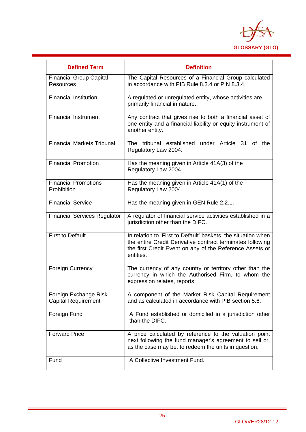

| <b>Defined Term</b>                                 | <b>Definition</b>                                                                                                                                                                                    |
|-----------------------------------------------------|------------------------------------------------------------------------------------------------------------------------------------------------------------------------------------------------------|
| <b>Financial Group Capital</b><br><b>Resources</b>  | The Capital Resources of a Financial Group calculated<br>in accordance with PIB Rule 8.3.4 or PIN 8.3.4.                                                                                             |
| <b>Financial Institution</b>                        | A regulated or unregulated entity, whose activities are<br>primarily financial in nature.                                                                                                            |
| <b>Financial Instrument</b>                         | Any contract that gives rise to both a financial asset of<br>one entity and a financial liability or equity instrument of<br>another entity.                                                         |
| <b>Financial Markets Tribunal</b>                   | The tribunal established under Article 31<br>of the<br>Regulatory Law 2004.                                                                                                                          |
| <b>Financial Promotion</b>                          | Has the meaning given in Article 41A(3) of the<br>Regulatory Law 2004.                                                                                                                               |
| <b>Financial Promotions</b><br>Prohibition          | Has the meaning given in Article 41A(1) of the<br>Regulatory Law 2004.                                                                                                                               |
| <b>Financial Service</b>                            | Has the meaning given in GEN Rule 2.2.1.                                                                                                                                                             |
| <b>Financial Services Regulator</b>                 | A regulator of financial service activities established in a<br>jurisdiction other than the DIFC.                                                                                                    |
| <b>First to Default</b>                             | In relation to 'First to Default' baskets, the situation when<br>the entire Credit Derivative contract terminates following<br>the first Credit Event on any of the Reference Assets or<br>entities. |
| Foreign Currency                                    | The currency of any country or territory other than the<br>currency in which the Authorised Firm, to whom the<br>expression relates, reports.                                                        |
| Foreign Exchange Risk<br><b>Capital Requirement</b> | A component of the Market Risk Capital Requirement<br>and as calculated in accordance with PIB section 5.6.                                                                                          |
| Foreign Fund                                        | A Fund established or domiciled in a jurisdiction other<br>than the DIFC.                                                                                                                            |
| <b>Forward Price</b>                                | A price calculated by reference to the valuation point<br>next following the fund manager's agreement to sell or,<br>as the case may be, to redeem the units in question.                            |
| Fund                                                | A Collective Investment Fund.                                                                                                                                                                        |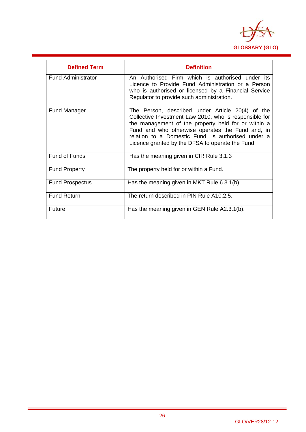

| <b>Defined Term</b>       | <b>Definition</b>                                                                                                                                                                                                                                                                                                               |
|---------------------------|---------------------------------------------------------------------------------------------------------------------------------------------------------------------------------------------------------------------------------------------------------------------------------------------------------------------------------|
| <b>Fund Administrator</b> | An Authorised Firm which is authorised under its<br>Licence to Provide Fund Administration or a Person<br>who is authorised or licensed by a Financial Service<br>Regulator to provide such administration.                                                                                                                     |
| <b>Fund Manager</b>       | The Person, described under Article 20(4) of the<br>Collective Investment Law 2010, who is responsible for<br>the management of the property held for or within a<br>Fund and who otherwise operates the Fund and, in<br>relation to a Domestic Fund, is authorised under a<br>Licence granted by the DFSA to operate the Fund. |
| <b>Fund of Funds</b>      | Has the meaning given in CIR Rule 3.1.3                                                                                                                                                                                                                                                                                         |
| <b>Fund Property</b>      | The property held for or within a Fund.                                                                                                                                                                                                                                                                                         |
| <b>Fund Prospectus</b>    | Has the meaning given in MKT Rule 6.3.1(b).                                                                                                                                                                                                                                                                                     |
| <b>Fund Return</b>        | The return described in PIN Rule A10.2.5.                                                                                                                                                                                                                                                                                       |
| Future                    | Has the meaning given in GEN Rule A2.3.1(b).                                                                                                                                                                                                                                                                                    |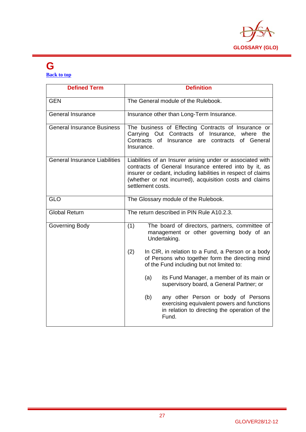

## **G**

**Back to top**

| <b>Defined Term</b>                  | <b>Definition</b>                                                                                                                                                                                                                                                    |
|--------------------------------------|----------------------------------------------------------------------------------------------------------------------------------------------------------------------------------------------------------------------------------------------------------------------|
| <b>GEN</b>                           | The General module of the Rulebook.                                                                                                                                                                                                                                  |
| <b>General Insurance</b>             | Insurance other than Long-Term Insurance.                                                                                                                                                                                                                            |
| <b>General Insurance Business</b>    | The business of Effecting Contracts of Insurance or<br>Carrying Out Contracts of Insurance, where the<br>Contracts of Insurance are contracts<br>of General<br>Insurance.                                                                                            |
| <b>General Insurance Liabilities</b> | Liabilities of an Insurer arising under or associated with<br>contracts of General Insurance entered into by it, as<br>insurer or cedant, including liabilities in respect of claims<br>(whether or not incurred), acquisition costs and claims<br>settlement costs. |
| <b>GLO</b>                           | The Glossary module of the Rulebook.                                                                                                                                                                                                                                 |
| <b>Global Return</b>                 | The return described in PIN Rule A10.2.3.                                                                                                                                                                                                                            |
| Governing Body                       | (1)<br>The board of directors, partners, committee of<br>management or other governing body of an<br>Undertaking.                                                                                                                                                    |
|                                      | (2)<br>In CIR, in relation to a Fund, a Person or a body<br>of Persons who together form the directing mind<br>of the Fund including but not limited to:                                                                                                             |
|                                      | its Fund Manager, a member of its main or<br>(a)<br>supervisory board, a General Partner; or                                                                                                                                                                         |
|                                      | any other Person or body of Persons<br>(b)<br>exercising equivalent powers and functions<br>in relation to directing the operation of the<br>Fund.                                                                                                                   |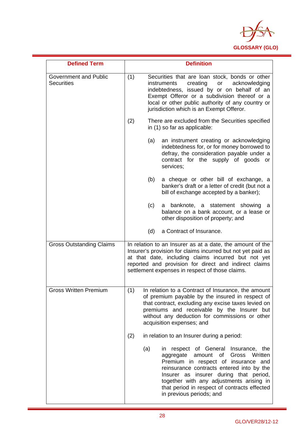

| <b>Defined Term</b>                               | <b>Definition</b>                                                                                                                                                                                                                                                                                                                            |
|---------------------------------------------------|----------------------------------------------------------------------------------------------------------------------------------------------------------------------------------------------------------------------------------------------------------------------------------------------------------------------------------------------|
| <b>Government and Public</b><br><b>Securities</b> | (1)<br>Securities that are loan stock, bonds or other<br>acknowledging<br>creating<br>or<br><i>instruments</i><br>indebtedness, issued by or on behalf of an<br>Exempt Offeror or a subdivision thereof or a<br>local or other public authority of any country or<br>jurisdiction which is an Exempt Offeror.                                |
|                                                   | (2)<br>There are excluded from the Securities specified<br>in (1) so far as applicable:                                                                                                                                                                                                                                                      |
|                                                   | (a)<br>an instrument creating or acknowledging<br>indebtedness for, or for money borrowed to<br>defray, the consideration payable under a<br>contract for the supply of goods or<br>services;                                                                                                                                                |
|                                                   | (b)<br>a cheque or other bill of exchange, a<br>banker's draft or a letter of credit (but not a<br>bill of exchange accepted by a banker);                                                                                                                                                                                                   |
|                                                   | (c)<br>a banknote, a statement showing<br>а<br>balance on a bank account, or a lease or<br>other disposition of property; and                                                                                                                                                                                                                |
|                                                   | a Contract of Insurance.<br>(d)                                                                                                                                                                                                                                                                                                              |
| <b>Gross Outstanding Claims</b>                   | In relation to an Insurer as at a date, the amount of the<br>Insurer's provision for claims incurred but not yet paid as<br>at that date, including claims incurred but not yet<br>reported and provision for direct and indirect claims<br>settlement expenses in respect of those claims.                                                  |
| <b>Gross Written Premium</b>                      | In relation to a Contract of Insurance, the amount<br>(1)<br>of premium payable by the insured in respect of<br>that contract, excluding any excise taxes levied on<br>premiums and receivable by the Insurer but<br>without any deduction for commissions or other<br>acquisition expenses; and                                             |
|                                                   | (2)<br>in relation to an Insurer during a period:                                                                                                                                                                                                                                                                                            |
|                                                   | in respect of General Insurance, the<br>(a)<br>amount of<br>Gross Written<br>aggregate<br>Premium in respect of insurance and<br>reinsurance contracts entered into by the<br>Insurer as insurer during that period,<br>together with any adjustments arising in<br>that period in respect of contracts effected<br>in previous periods; and |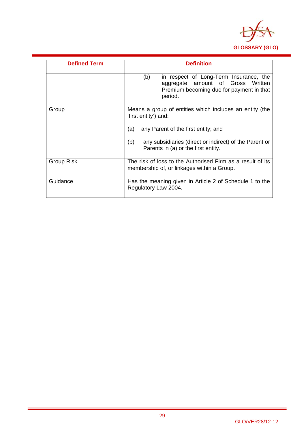

| <b>Defined Term</b> | <b>Definition</b>                                                                                                                         |
|---------------------|-------------------------------------------------------------------------------------------------------------------------------------------|
|                     | in respect of Long-Term Insurance, the<br>(b)<br>aggregate amount of Gross Written<br>Premium becoming due for payment in that<br>period. |
| Group               | Means a group of entities which includes an entity (the<br>'first entity') and:<br>(a)<br>any Parent of the first entity; and             |
|                     | any subsidiaries (direct or indirect) of the Parent or<br>(b)<br>Parents in (a) or the first entity.                                      |
| <b>Group Risk</b>   | The risk of loss to the Authorised Firm as a result of its<br>membership of, or linkages within a Group.                                  |
| Guidance            | Has the meaning given in Article 2 of Schedule 1 to the<br>Regulatory Law 2004.                                                           |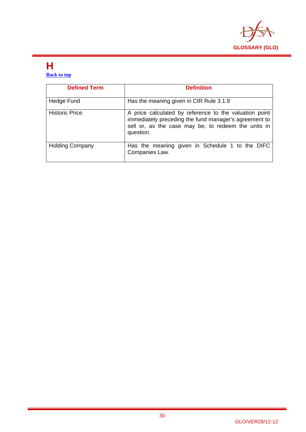

#### **H Back to top**

| <b>Defined Term</b>    | <b>Definition</b>                                                                                                                                                                   |
|------------------------|-------------------------------------------------------------------------------------------------------------------------------------------------------------------------------------|
| Hedge Fund             | Has the meaning given in CIR Rule 3.1.9                                                                                                                                             |
| <b>Historic Price</b>  | A price calculated by reference to the valuation point<br>immediately preceding the fund manager's agreement to<br>sell or, as the case may be, to redeem the units in<br>question. |
| <b>Holding Company</b> | Has the meaning given in Schedule 1 to the DIFC<br>Companies Law.                                                                                                                   |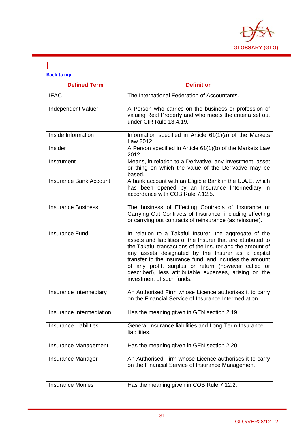

### **I**

| <b>Back to top</b>            |                                                                                                                                                                                                                                                                                                                                                                                                                                                   |  |
|-------------------------------|---------------------------------------------------------------------------------------------------------------------------------------------------------------------------------------------------------------------------------------------------------------------------------------------------------------------------------------------------------------------------------------------------------------------------------------------------|--|
| <b>Defined Term</b>           | <b>Definition</b>                                                                                                                                                                                                                                                                                                                                                                                                                                 |  |
| <b>IFAC</b>                   | The International Federation of Accountants.                                                                                                                                                                                                                                                                                                                                                                                                      |  |
| Independent Valuer            | A Person who carries on the business or profession of<br>valuing Real Property and who meets the criteria set out<br>under CIR Rule 13.4.19.                                                                                                                                                                                                                                                                                                      |  |
| Inside Information            | Information specified in Article 61(1)(a) of the Markets<br>Law 2012.                                                                                                                                                                                                                                                                                                                                                                             |  |
| Insider                       | A Person specified in Article 61(1)(b) of the Markets Law<br>2012.                                                                                                                                                                                                                                                                                                                                                                                |  |
| Instrument                    | Means, in relation to a Derivative, any Investment, asset<br>or thing on which the value of the Derivative may be<br>based.                                                                                                                                                                                                                                                                                                                       |  |
| <b>Insurance Bank Account</b> | A bank account with an Eligible Bank in the U.A.E. which<br>has been opened by an Insurance Intermediary in<br>accordance with COB Rule 7.12.5.                                                                                                                                                                                                                                                                                                   |  |
| <b>Insurance Business</b>     | The business of Effecting Contracts of Insurance or<br>Carrying Out Contracts of Insurance, including effecting<br>or carrying out contracts of reinsurance (as reinsurer).                                                                                                                                                                                                                                                                       |  |
| <b>Insurance Fund</b>         | In relation to a Takaful Insurer, the aggregate of the<br>assets and liabilities of the Insurer that are attributed to<br>the Takaful transactions of the Insurer and the amount of<br>any assets designated by the Insurer as a capital<br>transfer to the insurance fund; and includes the amount<br>of any profit, surplus or return (however called or<br>described), less attributable expenses, arising on the<br>investment of such funds. |  |
| Insurance Intermediary        | An Authorised Firm whose Licence authorises it to carry<br>on the Financial Service of Insurance Intermediation.                                                                                                                                                                                                                                                                                                                                  |  |
| Insurance Intermediation      | Has the meaning given in GEN section 2.19.                                                                                                                                                                                                                                                                                                                                                                                                        |  |
| <b>Insurance Liabilities</b>  | General Insurance liabilities and Long-Term Insurance<br>liabilities.                                                                                                                                                                                                                                                                                                                                                                             |  |
| Insurance Management          | Has the meaning given in GEN section 2.20.                                                                                                                                                                                                                                                                                                                                                                                                        |  |
| Insurance Manager             | An Authorised Firm whose Licence authorises it to carry<br>on the Financial Service of Insurance Management.                                                                                                                                                                                                                                                                                                                                      |  |
| <b>Insurance Monies</b>       | Has the meaning given in COB Rule 7.12.2.                                                                                                                                                                                                                                                                                                                                                                                                         |  |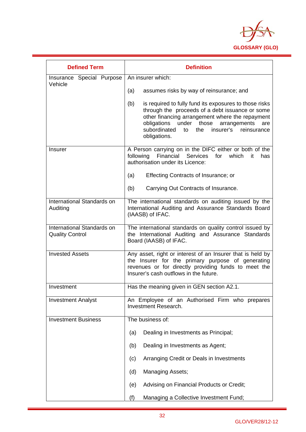

| <b>Defined Term</b>                                  | <b>Definition</b>                                                                                                                                                                                                                                                                                    |
|------------------------------------------------------|------------------------------------------------------------------------------------------------------------------------------------------------------------------------------------------------------------------------------------------------------------------------------------------------------|
| Insurance Special Purpose<br>Vehicle                 | An insurer which:                                                                                                                                                                                                                                                                                    |
|                                                      | (a)<br>assumes risks by way of reinsurance; and                                                                                                                                                                                                                                                      |
|                                                      | (b)<br>is required to fully fund its exposures to those risks<br>through the proceeds of a debt issuance or some<br>other financing arrangement where the repayment<br>obligations<br>under<br>those<br>arrangements<br>are<br>subordinated<br>the<br>insurer's<br>to<br>reinsurance<br>obligations. |
| <b>Insurer</b>                                       | A Person carrying on in the DIFC either or both of the<br>Financial Services<br>following<br>for<br>which<br>it<br>has<br>authorisation under its Licence:                                                                                                                                           |
|                                                      | Effecting Contracts of Insurance; or<br>(a)                                                                                                                                                                                                                                                          |
|                                                      | Carrying Out Contracts of Insurance.<br>(b)                                                                                                                                                                                                                                                          |
| International Standards on<br>Auditing               | The international standards on auditing issued by the<br>International Auditing and Assurance Standards Board<br>(IAASB) of IFAC.                                                                                                                                                                    |
| International Standards on<br><b>Quality Control</b> | The international standards on quality control issued by<br>the International Auditing and Assurance Standards<br>Board (IAASB) of IFAC.                                                                                                                                                             |
| <b>Invested Assets</b>                               | Any asset, right or interest of an Insurer that is held by<br>the Insurer for the primary purpose of generating<br>revenues or for directly providing funds to meet the<br>Insurer's cash outflows in the future.                                                                                    |
| Investment                                           | Has the meaning given in GEN section A2.1.                                                                                                                                                                                                                                                           |
| <b>Investment Analyst</b>                            | An Employee of an Authorised Firm who prepares<br>Investment Research.                                                                                                                                                                                                                               |
| <b>Investment Business</b>                           | The business of:                                                                                                                                                                                                                                                                                     |
|                                                      | Dealing in Investments as Principal;<br>(a)                                                                                                                                                                                                                                                          |
|                                                      | Dealing in Investments as Agent;<br>(b)                                                                                                                                                                                                                                                              |
|                                                      | Arranging Credit or Deals in Investments<br>(c)                                                                                                                                                                                                                                                      |
|                                                      | (d)<br><b>Managing Assets;</b>                                                                                                                                                                                                                                                                       |
|                                                      | Advising on Financial Products or Credit;<br>(e)                                                                                                                                                                                                                                                     |
|                                                      | Managing a Collective Investment Fund;<br>(f)                                                                                                                                                                                                                                                        |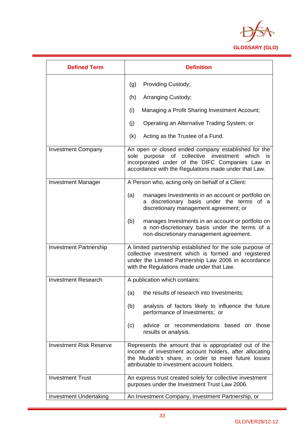

| <b>Defined Term</b>            | <b>Definition</b>                                                                                                                                                                                                                      |
|--------------------------------|----------------------------------------------------------------------------------------------------------------------------------------------------------------------------------------------------------------------------------------|
|                                | Providing Custody;<br>(g)                                                                                                                                                                                                              |
|                                | (h)<br>Arranging Custody;                                                                                                                                                                                                              |
|                                | (i)<br>Managing a Profit Sharing Investment Account;                                                                                                                                                                                   |
|                                | (i)<br>Operating an Alternative Trading System; or                                                                                                                                                                                     |
|                                | (k)<br>Acting as the Trustee of a Fund.                                                                                                                                                                                                |
| <b>Investment Company</b>      | An open or closed ended company established for the<br>collective investment<br>of<br>sole<br>purpose<br>which<br><b>is</b><br>incorporated under of the DIFC Companies Law in<br>accordance with the Regulations made under that Law. |
| <b>Investment Manager</b>      | A Person who, acting only on behalf of a Client:                                                                                                                                                                                       |
|                                | (a)<br>manages Investments in an account or portfolio on<br>a discretionary basis under the terms of a<br>discretionary management agreement; or                                                                                       |
|                                | (b)<br>manages Investments in an account or portfolio on<br>a non-discretionary basis under the terms of a<br>non-discretionary management agreement.                                                                                  |
| <b>Investment Partnership</b>  | A limited partnership established for the sole purpose of<br>collective investment which is formed and registered<br>under the Limited Partnership Law 2006 in accordance<br>with the Regulations made under that Law.                 |
| <b>Investment Research</b>     | A publication which contains:                                                                                                                                                                                                          |
|                                | the results of research into Investments;<br>(a)                                                                                                                                                                                       |
|                                | analysis of factors likely to influence the future<br>(b)<br>performance of Investments; or                                                                                                                                            |
|                                | advice or recommendations based on<br>(c)<br>those<br>results or analysis.                                                                                                                                                             |
| <b>Investment Risk Reserve</b> | Represents the amount that is appropriated out of the<br>income of investment account holders, after allocating<br>the Mudarib's share, in order to meet future losses<br>attributable to investment account holders.                  |
| <b>Investment Trust</b>        | An express trust created solely for collective investment<br>purposes under the Investment Trust Law 2006.                                                                                                                             |
| <b>Investment Undertaking</b>  | An Investment Company, Investment Partnership, or                                                                                                                                                                                      |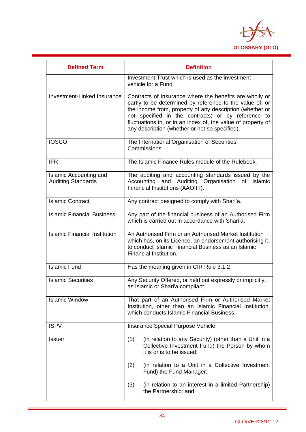

| <b>Defined Term</b>                                        | <b>Definition</b>                                                                                                                                                                                                                                                                                                                                       |
|------------------------------------------------------------|---------------------------------------------------------------------------------------------------------------------------------------------------------------------------------------------------------------------------------------------------------------------------------------------------------------------------------------------------------|
|                                                            | Investment Trust which is used as the investment<br>vehicle for a Fund.                                                                                                                                                                                                                                                                                 |
| Investment-Linked Insurance                                | Contracts of Insurance where the benefits are wholly or<br>partly to be determined by reference to the value of, or<br>the income from, property of any description (whether or<br>not specified in the contracts) or by reference to<br>fluctuations in, or in an index of, the value of property of<br>any description (whether or not so specified). |
| <b>IOSCO</b>                                               | The International Organisation of Securities<br>Commissions.                                                                                                                                                                                                                                                                                            |
| <b>IFR</b>                                                 | The Islamic Finance Rules module of the Rulebook.                                                                                                                                                                                                                                                                                                       |
| <b>Islamic Accounting and</b><br><b>Auditing Standards</b> | The auditing and accounting standards issued by the<br>Accounting and Auditing Organisation of<br>Islamic<br>Financial Institutions (AAOIFI).                                                                                                                                                                                                           |
| Islamic Contract                                           | Any contract designed to comply with Shari'a.                                                                                                                                                                                                                                                                                                           |
| <b>Islamic Financial Business</b>                          | Any part of the financial business of an Authorised Firm<br>which is carried out in accordance with Shari'a.                                                                                                                                                                                                                                            |
| <b>Islamic Financial Institution</b>                       | An Authorised Firm or an Authorised Market Institution<br>which has, on its Licence, an endorsement authorising it<br>to conduct Islamic Financial Business as an Islamic<br>Financial Institution.                                                                                                                                                     |
| <b>Islamic Fund</b>                                        | Has the meaning given in CIR Rule 3.1.2                                                                                                                                                                                                                                                                                                                 |
| <b>Islamic Securities</b>                                  | Any Security Offered, or held out expressly or implicitly,<br>as Islamic or Shari'a compliant.                                                                                                                                                                                                                                                          |
| <b>Islamic Window</b>                                      | That part of an Authorised Firm or Authorised Market<br>Institution, other than an Islamic Financial Institution,<br>which conducts Islamic Financial Business.                                                                                                                                                                                         |
| <b>ISPV</b>                                                | Insurance Special Purpose Vehicle                                                                                                                                                                                                                                                                                                                       |
| <b>Issuer</b>                                              | (1)<br>(in relation to any Security) (other than a Unit in a<br>Collective Investment Fund) the Person by whom<br>it is or is to be issued;                                                                                                                                                                                                             |
|                                                            | (2)<br>(in relation to a Unit in a Collective Investment<br>Fund) the Fund Manager;                                                                                                                                                                                                                                                                     |
|                                                            | (3)<br>(in relation to an interest in a limited Partnership)<br>the Partnership; and                                                                                                                                                                                                                                                                    |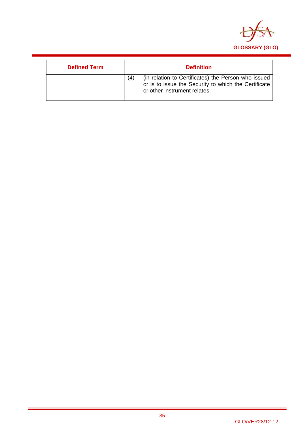

| <b>Defined Term</b> | <b>Definition</b>                                                                                                                                  |
|---------------------|----------------------------------------------------------------------------------------------------------------------------------------------------|
|                     | (in relation to Certificates) the Person who issued<br>(4)<br>or is to issue the Security to which the Certificate<br>or other instrument relates. |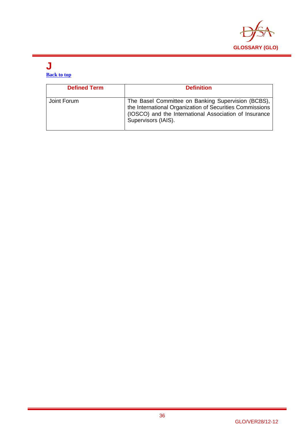

#### **J Back to top**

| <b>Defined Term</b> | <b>Definition</b>                                                                                                                                                                               |
|---------------------|-------------------------------------------------------------------------------------------------------------------------------------------------------------------------------------------------|
| Joint Forum         | The Basel Committee on Banking Supervision (BCBS),<br>the International Organization of Securities Commissions<br>(IOSCO) and the International Association of Insurance<br>Supervisors (IAIS). |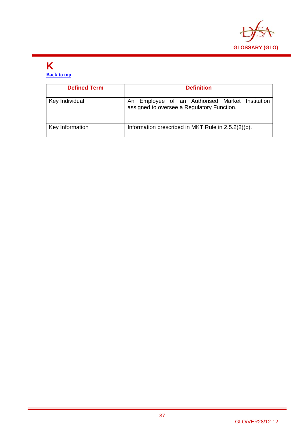

#### **K Back to top**

| <b>Defined Term</b> | <b>Definition</b>                                                                             |
|---------------------|-----------------------------------------------------------------------------------------------|
| Key Individual      | An Employee of an Authorised Market Institution<br>assigned to oversee a Regulatory Function. |
| Key Information     | Information prescribed in MKT Rule in 2.5.2(2)(b).                                            |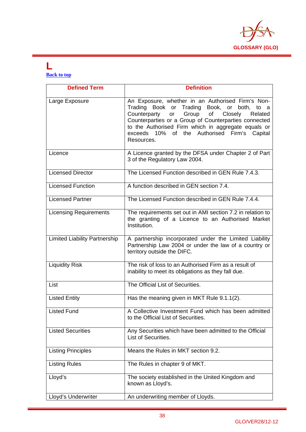

#### **L Back to top**

| <b>Defined Term</b>                  | <b>Definition</b>                                                                                                                                                                                                                                                                                                                   |
|--------------------------------------|-------------------------------------------------------------------------------------------------------------------------------------------------------------------------------------------------------------------------------------------------------------------------------------------------------------------------------------|
| Large Exposure                       | An Exposure, whether in an Authorised Firm's Non-<br>Trading Book or Trading Book, or both, to a<br>Counterparty or Group of Closely<br>Related<br>Counterparties or a Group of Counterparties connected<br>to the Authorised Firm which in aggregate equals or<br>10% of the Authorised<br>exceeds<br>Firm's Capital<br>Resources. |
| Licence                              | A Licence granted by the DFSA under Chapter 2 of Part<br>3 of the Regulatory Law 2004.                                                                                                                                                                                                                                              |
| <b>Licensed Director</b>             | The Licensed Function described in GEN Rule 7.4.3.                                                                                                                                                                                                                                                                                  |
| <b>Licensed Function</b>             | A function described in GEN section 7.4.                                                                                                                                                                                                                                                                                            |
| <b>Licensed Partner</b>              | The Licensed Function described in GEN Rule 7.4.4.                                                                                                                                                                                                                                                                                  |
| <b>Licensing Requirements</b>        | The requirements set out in AMI section 7.2 in relation to<br>the granting of a Licence to an Authorised Market<br>Institution.                                                                                                                                                                                                     |
| <b>Limited Liability Partnership</b> | A partnership incorporated under the Limited Liability<br>Partnership Law 2004 or under the law of a country or<br>territory outside the DIFC.                                                                                                                                                                                      |
| <b>Liquidity Risk</b>                | The risk of loss to an Authorised Firm as a result of<br>inability to meet its obligations as they fall due.                                                                                                                                                                                                                        |
| List                                 | The Official List of Securities.                                                                                                                                                                                                                                                                                                    |
| <b>Listed Entity</b>                 | Has the meaning given in MKT Rule 9.1.1(2).                                                                                                                                                                                                                                                                                         |
| <b>Listed Fund</b>                   | A Collective Investment Fund which has been admitted<br>to the Official List of Securities.                                                                                                                                                                                                                                         |
| <b>Listed Securities</b>             | Any Securities which have been admitted to the Official<br>List of Securities.                                                                                                                                                                                                                                                      |
| <b>Listing Principles</b>            | Means the Rules in MKT section 9.2.                                                                                                                                                                                                                                                                                                 |
| <b>Listing Rules</b>                 | The Rules in chapter 9 of MKT.                                                                                                                                                                                                                                                                                                      |
| Lloyd's                              | The society established in the United Kingdom and<br>known as Lloyd's.                                                                                                                                                                                                                                                              |
| Lloyd's Underwriter                  | An underwriting member of Lloyds.                                                                                                                                                                                                                                                                                                   |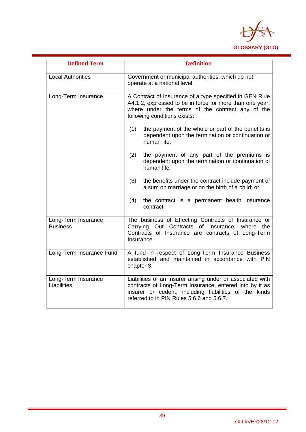

| <b>Defined Term</b>                    | <b>Definition</b>                                                                                                                                                                                                           |  |
|----------------------------------------|-----------------------------------------------------------------------------------------------------------------------------------------------------------------------------------------------------------------------------|--|
| <b>Local Authorities</b>               | Government or municipal authorities, which do not<br>operate at a national level.                                                                                                                                           |  |
| Long-Term Insurance                    | A Contract of Insurance of a type specified in GEN Rule<br>A4.1.2, expressed to be in force for more than one year,<br>where under the terms of the contract any of the<br>following conditions exists:                     |  |
|                                        | (1)<br>the payment of the whole or part of the benefits is<br>dependent upon the termination or continuation or<br>human life;                                                                                              |  |
|                                        | (2)<br>the payment of any part of the premiums is<br>dependent upon the termination or continuation of<br>human life;                                                                                                       |  |
|                                        | (3)<br>the benefits under the contract include payment of<br>a sum on marriage or on the birth of a child; or                                                                                                               |  |
|                                        | the contract is a permanent health insurance<br>(4)<br>contract.                                                                                                                                                            |  |
| Long-Term Insurance<br><b>Business</b> | The business of Effecting Contracts of Insurance or<br>Out Contracts of Insurance, where the<br>Carrying<br>Contracts of Insurance are contracts of Long-Term<br>Insurance.                                                 |  |
| Long-Term Insurance Fund               | A fund in respect of Long-Term Insurance Business<br>established and maintained in accordance with PIN<br>chapter 3.                                                                                                        |  |
| Long-Term Insurance<br>Liabilities     | Liabilities of an Insurer arising under or associated with<br>contracts of Long-Term Insurance, entered into by it as<br>insurer or cedent, including liabilities of the kinds<br>referred to in PIN Rules 5.6.6 and 5.6.7. |  |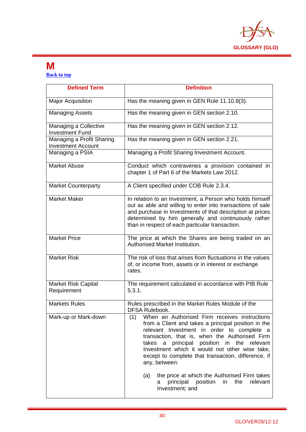

#### **M Back to top**

| <b>Defined Term</b>                                    | <b>Definition</b>                                                                                                                                                                                                                                                                                                                                                                                                                                                                                                           |
|--------------------------------------------------------|-----------------------------------------------------------------------------------------------------------------------------------------------------------------------------------------------------------------------------------------------------------------------------------------------------------------------------------------------------------------------------------------------------------------------------------------------------------------------------------------------------------------------------|
| <b>Major Acquisition</b>                               | Has the meaning given in GEN Rule 11.10.8(3).                                                                                                                                                                                                                                                                                                                                                                                                                                                                               |
| <b>Managing Assets</b>                                 | Has the meaning given in GEN section 2.10.                                                                                                                                                                                                                                                                                                                                                                                                                                                                                  |
| Managing a Collective<br><b>Investment Fund</b>        | Has the meaning given in GEN section 2.12.                                                                                                                                                                                                                                                                                                                                                                                                                                                                                  |
| Managing a Profit Sharing<br><b>Investment Account</b> | Has the meaning given in GEN section 2.21.                                                                                                                                                                                                                                                                                                                                                                                                                                                                                  |
| Managing a PSIA                                        | Managing a Profit Sharing Investment Account.                                                                                                                                                                                                                                                                                                                                                                                                                                                                               |
| <b>Market Abuse</b>                                    | Conduct which contravenes a provision contained in<br>chapter 1 of Part 6 of the Markets Law 2012.                                                                                                                                                                                                                                                                                                                                                                                                                          |
| <b>Market Counterparty</b>                             | A Client specified under COB Rule 2.3.4.                                                                                                                                                                                                                                                                                                                                                                                                                                                                                    |
| <b>Market Maker</b>                                    | In relation to an Investment, a Person who holds himself<br>out as able and willing to enter into transactions of sale<br>and purchase in Investments of that description at prices<br>determined by him generally and continuously rather<br>than in respect of each particular transaction.                                                                                                                                                                                                                               |
| <b>Market Price</b>                                    | The price at which the Shares are being traded on an<br>Authorised Market Institution.                                                                                                                                                                                                                                                                                                                                                                                                                                      |
| <b>Market Risk</b>                                     | The risk of loss that arises from fluctuations in the values<br>of, or income from, assets or in interest or exchange<br>rates.                                                                                                                                                                                                                                                                                                                                                                                             |
| Market Risk Capital<br>Requirement                     | The requirement calculated in accordance with PIB Rule<br>5.3.1.                                                                                                                                                                                                                                                                                                                                                                                                                                                            |
| <b>Markets Rules</b>                                   | Rules prescribed in the Market Rules Module of the<br><b>DFSA Rulebook.</b>                                                                                                                                                                                                                                                                                                                                                                                                                                                 |
| Mark-up or Mark-down                                   | When an Authorised Firm receives instructions<br>(1)<br>from a Client and takes a principal position in the<br>relevant Investment in order to complete a<br>transaction, that is, when the Authorised Firm<br>principal position in the relevant<br>takes<br>a<br>Investment which it would not other wise take,<br>except to complete that transaction, difference, if<br>any, between:<br>the price at which the Authorised Firm takes<br>(a)<br>position<br>the<br>relevant<br>principal<br>in.<br>а<br>Investment; and |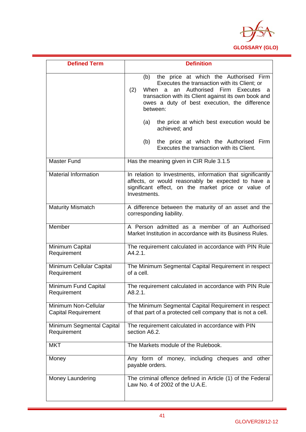

| <b>Defined Term</b>                                | <b>Definition</b>                                                                                                                                                                                                                                                                   |
|----------------------------------------------------|-------------------------------------------------------------------------------------------------------------------------------------------------------------------------------------------------------------------------------------------------------------------------------------|
|                                                    | the price at which the Authorised Firm<br>(b)<br>Executes the transaction with its Client; or<br>Authorised<br>(2)<br>When<br>Firm<br>Executes<br>an<br>a<br>a<br>transaction with its Client against its own book and<br>owes a duty of best execution, the difference<br>between: |
|                                                    | the price at which best execution would be<br>(a)<br>achieved; and                                                                                                                                                                                                                  |
|                                                    | the price at which the Authorised Firm<br>(b)<br>Executes the transaction with its Client.                                                                                                                                                                                          |
| <b>Master Fund</b>                                 | Has the meaning given in CIR Rule 3.1.5                                                                                                                                                                                                                                             |
| <b>Material Information</b>                        | In relation to Investments, information that significantly<br>affects, or would reasonably be expected to have a<br>significant effect, on the market price or value of<br>Investments.                                                                                             |
| <b>Maturity Mismatch</b>                           | A difference between the maturity of an asset and the<br>corresponding liability.                                                                                                                                                                                                   |
| Member                                             | A Person admitted as a member of an Authorised<br>Market Institution in accordance with its Business Rules.                                                                                                                                                                         |
| Minimum Capital<br>Requirement                     | The requirement calculated in accordance with PIN Rule<br>A4.2.1.                                                                                                                                                                                                                   |
| Minimum Cellular Capital<br>Requirement            | The Minimum Segmental Capital Requirement in respect<br>of a cell.                                                                                                                                                                                                                  |
| Minimum Fund Capital<br>Requirement                | The requirement calculated in accordance with PIN Rule<br>A8.2.1.                                                                                                                                                                                                                   |
| Minimum Non-Cellular<br><b>Capital Requirement</b> | The Minimum Segmental Capital Requirement in respect<br>of that part of a protected cell company that is not a cell.                                                                                                                                                                |
| Minimum Segmental Capital<br>Requirement           | The requirement calculated in accordance with PIN<br>section A6.2.                                                                                                                                                                                                                  |
| <b>MKT</b>                                         | The Markets module of the Rulebook.                                                                                                                                                                                                                                                 |
| Money                                              | Any form of money, including cheques and other<br>payable orders.                                                                                                                                                                                                                   |
| Money Laundering                                   | The criminal offence defined in Article (1) of the Federal<br>Law No. 4 of 2002 of the U.A.E.                                                                                                                                                                                       |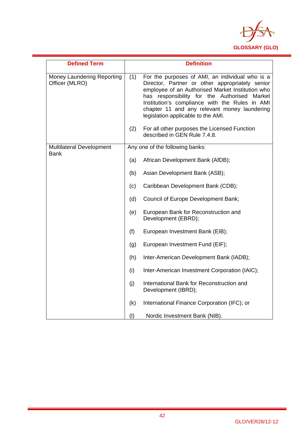

| <b>Defined Term</b>                            |     | <b>Definition</b>                                                                                                                                                                                                                                                                                                                                 |
|------------------------------------------------|-----|---------------------------------------------------------------------------------------------------------------------------------------------------------------------------------------------------------------------------------------------------------------------------------------------------------------------------------------------------|
| Money Laundering Reporting<br>Officer (MLRO)   | (1) | For the purposes of AMI, an individual who is a<br>Director, Partner or other appropriately senior<br>employee of an Authorised Market Institution who<br>has responsibility for the Authorised<br>Market<br>Institution's compliance with the Rules in AMI<br>chapter 11 and any relevant money laundering<br>legislation applicable to the AMI. |
|                                                | (2) | For all other purposes the Licensed Function<br>described in GEN Rule 7.4.8.                                                                                                                                                                                                                                                                      |
| <b>Multilateral Development</b><br><b>Bank</b> |     | Any one of the following banks:                                                                                                                                                                                                                                                                                                                   |
|                                                | (a) | African Development Bank (AfDB);                                                                                                                                                                                                                                                                                                                  |
|                                                | (b) | Asian Development Bank (ASB);                                                                                                                                                                                                                                                                                                                     |
|                                                | (c) | Caribbean Development Bank (CDB);                                                                                                                                                                                                                                                                                                                 |
|                                                | (d) | Council of Europe Development Bank;                                                                                                                                                                                                                                                                                                               |
|                                                | (e) | European Bank for Reconstruction and<br>Development (EBRD);                                                                                                                                                                                                                                                                                       |
|                                                | (f) | European Investment Bank (EIB);                                                                                                                                                                                                                                                                                                                   |
|                                                | (g) | European Investment Fund (EIF);                                                                                                                                                                                                                                                                                                                   |
|                                                | (h) | Inter-American Development Bank (IADB);                                                                                                                                                                                                                                                                                                           |
|                                                | (i) | Inter-American Investment Corporation (IAIC);                                                                                                                                                                                                                                                                                                     |
|                                                | (i) | International Bank for Reconstruction and<br>Development (IBRD);                                                                                                                                                                                                                                                                                  |
|                                                | (k) | International Finance Corporation (IFC); or                                                                                                                                                                                                                                                                                                       |
|                                                | (1) | Nordic Investment Bank (NIB).                                                                                                                                                                                                                                                                                                                     |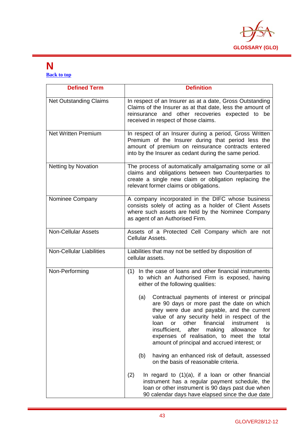

#### **N Back to top**

| <b>Defined Term</b>             | <b>Definition</b>                                                                                                                                                                                                                                                                                                                                                                                              |
|---------------------------------|----------------------------------------------------------------------------------------------------------------------------------------------------------------------------------------------------------------------------------------------------------------------------------------------------------------------------------------------------------------------------------------------------------------|
| <b>Net Outstanding Claims</b>   | In respect of an Insurer as at a date, Gross Outstanding<br>Claims of the Insurer as at that date, less the amount of<br>reinsurance and other recoveries expected to be<br>received in respect of those claims.                                                                                                                                                                                               |
| <b>Net Written Premium</b>      | In respect of an Insurer during a period, Gross Written<br>Premium of the Insurer during that period less the<br>amount of premium on reinsurance contracts entered<br>into by the Insurer as cedant during the same period.                                                                                                                                                                                   |
| <b>Netting by Novation</b>      | The process of automatically amalgamating some or all<br>claims and obligations between two Counterparties to<br>create a single new claim or obligation replacing the<br>relevant former claims or obligations.                                                                                                                                                                                               |
| Nominee Company                 | A company incorporated in the DIFC whose business<br>consists solely of acting as a holder of Client Assets<br>where such assets are held by the Nominee Company<br>as agent of an Authorised Firm.                                                                                                                                                                                                            |
| <b>Non-Cellular Assets</b>      | Assets of a Protected Cell Company which are not<br>Cellular Assets.                                                                                                                                                                                                                                                                                                                                           |
| <b>Non-Cellular Liabilities</b> | Liabilities that may not be settled by disposition of<br>cellular assets.                                                                                                                                                                                                                                                                                                                                      |
| Non-Performing                  | In the case of loans and other financial instruments<br>(1)<br>to which an Authorised Firm is exposed, having<br>either of the following qualities:                                                                                                                                                                                                                                                            |
|                                 | Contractual payments of interest or principal<br>(a)<br>are 90 days or more past the date on which<br>they were due and payable, and the current<br>value of any security held in respect of the<br>other<br>financial<br>loan<br>instrument<br>or<br>is<br>insufficient,<br>after<br>making<br>for<br>allowance<br>expenses of realisation, to meet the total<br>amount of principal and accrued interest; or |
|                                 | (b)<br>having an enhanced risk of default, assessed<br>on the basis of reasonable criteria.                                                                                                                                                                                                                                                                                                                    |
|                                 | (2)<br>In regard to $(1)(a)$ , if a loan or other financial<br>instrument has a regular payment schedule, the<br>loan or other instrument is 90 days past due when<br>90 calendar days have elapsed since the due date                                                                                                                                                                                         |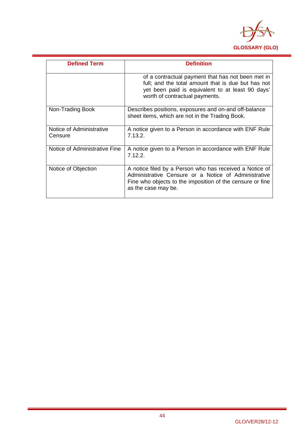

| <b>Defined Term</b>                 | <b>Definition</b>                                                                                                                                                                                   |
|-------------------------------------|-----------------------------------------------------------------------------------------------------------------------------------------------------------------------------------------------------|
|                                     | of a contractual payment that has not been met in<br>full; and the total amount that is due but has not<br>yet been paid is equivalent to at least 90 days'<br>worth of contractual payments.       |
| Non-Trading Book                    | Describes positions, exposures and on-and off-balance<br>sheet items, which are not in the Trading Book.                                                                                            |
| Notice of Administrative<br>Censure | A notice given to a Person in accordance with ENF Rule<br>7.13.2.                                                                                                                                   |
| Notice of Administrative Fine       | A notice given to a Person in accordance with ENF Rule<br>7.12.2.                                                                                                                                   |
| Notice of Objection                 | A notice filed by a Person who has received a Notice of<br>Administrative Censure or a Notice of Administrative<br>Fine who objects to the imposition of the censure or fine<br>as the case may be. |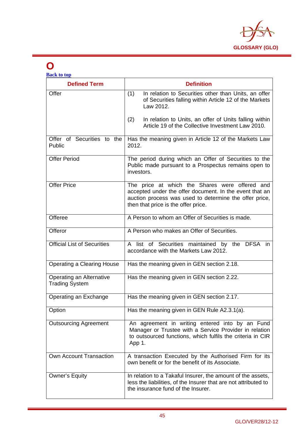

### **O**

| <b>Back to top</b>                                |                                                                                                                                                                                                            |
|---------------------------------------------------|------------------------------------------------------------------------------------------------------------------------------------------------------------------------------------------------------------|
| <b>Defined Term</b>                               | <b>Definition</b>                                                                                                                                                                                          |
| Offer                                             | (1)<br>In relation to Securities other than Units, an offer<br>of Securities falling within Article 12 of the Markets<br>Law 2012.                                                                         |
|                                                   | In relation to Units, an offer of Units falling within<br>(2)<br>Article 19 of the Collective Investment Law 2010.                                                                                         |
| Offer of Securities to the<br>Public              | Has the meaning given in Article 12 of the Markets Law<br>2012.                                                                                                                                            |
| <b>Offer Period</b>                               | The period during which an Offer of Securities to the<br>Public made pursuant to a Prospectus remains open to<br>investors.                                                                                |
| <b>Offer Price</b>                                | The price at which the Shares were offered and<br>accepted under the offer document. In the event that an<br>auction process was used to determine the offer price,<br>then that price is the offer price. |
| Offeree                                           | A Person to whom an Offer of Securities is made.                                                                                                                                                           |
| Offeror                                           | A Person who makes an Offer of Securities.                                                                                                                                                                 |
| <b>Official List of Securities</b>                | A list of Securities maintained by the DFSA in<br>accordance with the Markets Law 2012.                                                                                                                    |
| Operating a Clearing House                        | Has the meaning given in GEN section 2.18.                                                                                                                                                                 |
| Operating an Alternative<br><b>Trading System</b> | Has the meaning given in GEN section 2.22.                                                                                                                                                                 |
| Operating an Exchange                             | Has the meaning given in GEN section 2.17.                                                                                                                                                                 |
| Option                                            | Has the meaning given in GEN Rule A2.3.1(a).                                                                                                                                                               |
| <b>Outsourcing Agreement</b>                      | An agreement in writing entered into by an Fund<br>Manager or Trustee with a Service Provider in relation<br>to outsourced functions, which fulfils the criteria in CIR<br>App 1.                          |
| Own Account Transaction                           | A transaction Executed by the Authorised Firm for its<br>own benefit or for the benefit of its Associate.                                                                                                  |
| <b>Owner's Equity</b>                             | In relation to a Takaful Insurer, the amount of the assets,<br>less the liabilities, of the Insurer that are not attributed to<br>the insurance fund of the Insurer.                                       |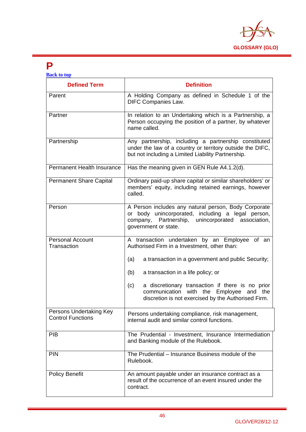

#### **P**

| <b>Back to top</b>                                  |                                                                                                                                                                                                 |
|-----------------------------------------------------|-------------------------------------------------------------------------------------------------------------------------------------------------------------------------------------------------|
| <b>Defined Term</b>                                 | <b>Definition</b>                                                                                                                                                                               |
| Parent                                              | A Holding Company as defined in Schedule 1 of the<br><b>DIFC Companies Law.</b>                                                                                                                 |
| Partner                                             | In relation to an Undertaking which is a Partnership, a<br>Person occupying the position of a partner, by whatever<br>name called.                                                              |
| Partnership                                         | Any partnership, including a partnership constituted<br>under the law of a country or territory outside the DIFC,<br>but not including a Limited Liability Partnership.                         |
| <b>Permanent Health Insurance</b>                   | Has the meaning given in GEN Rule A4.1.2(d).                                                                                                                                                    |
| <b>Permanent Share Capital</b>                      | Ordinary paid-up share capital or similar shareholders' or<br>members' equity, including retained earnings, however<br>called.                                                                  |
| Person                                              | A Person includes any natural person, Body Corporate<br>or body unincorporated, including a legal person,<br>Partnership,<br>company,<br>unincorporated<br>association,<br>government or state. |
| <b>Personal Account</b><br>Transaction              | A transaction undertaken by an Employee of an<br>Authorised Firm in a Investment, other than:<br>a transaction in a government and public Security;<br>(a)                                      |
|                                                     | a transaction in a life policy; or<br>(b)                                                                                                                                                       |
|                                                     | a discretionary transaction if there is no prior<br>(c)<br>communication<br>with the Employee and<br>the<br>discretion is not exercised by the Authorised Firm.                                 |
| Persons Undertaking Key<br><b>Control Functions</b> | Persons undertaking compliance, risk management,<br>internal audit and similar control functions.                                                                                               |
| <b>PIB</b>                                          | The Prudential - Investment, Insurance Intermediation<br>and Banking module of the Rulebook.                                                                                                    |
| <b>PIN</b>                                          | The Prudential - Insurance Business module of the<br>Rulebook.                                                                                                                                  |
| <b>Policy Benefit</b>                               | An amount payable under an insurance contract as a<br>result of the occurrence of an event insured under the<br>contract.                                                                       |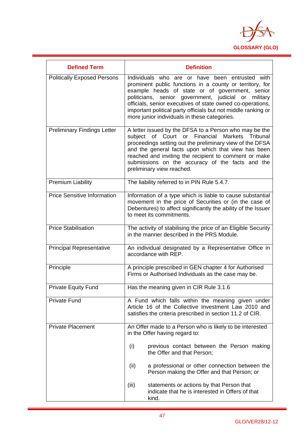

| <b>Defined Term</b>                | <b>Definition</b>                                                                                                                                                                                                                                                                                                                                                                                        |  |
|------------------------------------|----------------------------------------------------------------------------------------------------------------------------------------------------------------------------------------------------------------------------------------------------------------------------------------------------------------------------------------------------------------------------------------------------------|--|
| <b>Politically Exposed Persons</b> | Individuals who are or have been entrusted with<br>prominent public functions in a county or territory, for<br>example heads of state or of government, senior<br>politicians,<br>senior government, judicial or military<br>officials, senior executives of state owned co-operations,<br>important political party officials but not middle ranking or<br>more junior individuals in these categories. |  |
| <b>Preliminary Findings Letter</b> | A letter issued by the DFSA to a Person who may be the<br>subject of Court or Financial Markets Tribunal<br>proceedings setting out the preliminary view of the DFSA<br>and the general facts upon which that view has been<br>reached and inviting the recipient to comment or make<br>submissions on the accuracy of the facts and the<br>preliminary view reached.                                    |  |
| <b>Premium Liability</b>           | The liability referred to in PIN Rule 5.4.7.                                                                                                                                                                                                                                                                                                                                                             |  |
| <b>Price Sensitive Information</b> | Information of a type which is liable to cause substantial<br>movement in the price of Securities or (in the case of<br>Debentures) to affect significantly the ability of the Issuer<br>to meet its commitments.                                                                                                                                                                                        |  |
| <b>Price Stabilisation</b>         | The activity of stabilising the price of an Eligible Security<br>in the manner described in the PRS Module.                                                                                                                                                                                                                                                                                              |  |
| <b>Principal Representative</b>    | An individual designated by a Representative Office in<br>accordance with REP.                                                                                                                                                                                                                                                                                                                           |  |
| Principle                          | A principle prescribed in GEN chapter 4 for Authorised<br>Firms or Authorised Individuals as the case may be.                                                                                                                                                                                                                                                                                            |  |
| <b>Private Equity Fund</b>         | Has the meaning given in CIR Rule 3.1.6                                                                                                                                                                                                                                                                                                                                                                  |  |
| <b>Private Fund</b>                | A Fund which falls within the meaning given under<br>Article 16 of the Collective Investment Law 2010 and<br>satisfies the criteria prescribed in section 11.2 of CIR.                                                                                                                                                                                                                                   |  |
| <b>Private Placement</b>           | An Offer made to a Person who is likely to be interested<br>in the Offer having regard to:                                                                                                                                                                                                                                                                                                               |  |
|                                    | (i)<br>previous contact between the Person making<br>the Offer and that Person;                                                                                                                                                                                                                                                                                                                          |  |
|                                    | (ii)<br>a professional or other connection between the<br>Person making the Offer and that Person; or                                                                                                                                                                                                                                                                                                    |  |
|                                    | (iii)<br>statements or actions by that Person that<br>indicate that he is interested in Offers of that<br>kind.                                                                                                                                                                                                                                                                                          |  |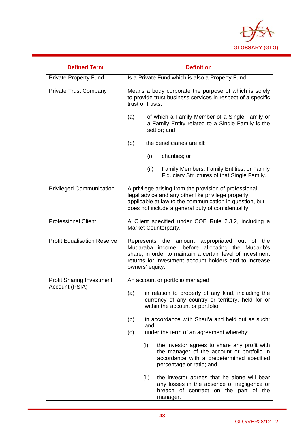

| <b>Defined Term</b>                                | <b>Definition</b>                                                                                                                                                                                                                           |
|----------------------------------------------------|---------------------------------------------------------------------------------------------------------------------------------------------------------------------------------------------------------------------------------------------|
| <b>Private Property Fund</b>                       | Is a Private Fund which is also a Property Fund                                                                                                                                                                                             |
| <b>Private Trust Company</b>                       | Means a body corporate the purpose of which is solely<br>to provide trust business services in respect of a specific<br>trust or trusts:                                                                                                    |
|                                                    | of which a Family Member of a Single Family or<br>(a)<br>a Family Entity related to a Single Family is the<br>settlor; and                                                                                                                  |
|                                                    | the beneficiaries are all:<br>(b)                                                                                                                                                                                                           |
|                                                    | (i)<br>charities; or                                                                                                                                                                                                                        |
|                                                    | Family Members, Family Entities, or Family<br>(ii)<br>Fiduciary Structures of that Single Family.                                                                                                                                           |
| <b>Privileged Communication</b>                    | A privilege arising from the provision of professional<br>legal advice and any other like privilege properly<br>applicable at law to the communication in question, but<br>does not include a general duty of confidentiality.              |
| <b>Professional Client</b>                         | A Client specified under COB Rule 2.3.2, including a<br>Market Counterparty.                                                                                                                                                                |
| <b>Profit Equalisation Reserve</b>                 | Represents the amount appropriated out of the<br>Mudaraba income, before allocating the Mudarib's<br>share, in order to maintain a certain level of investment<br>returns for investment account holders and to increase<br>owners' equity. |
| <b>Profit Sharing Investment</b><br>Account (PSIA) | An account or portfolio managed:                                                                                                                                                                                                            |
|                                                    | (a)<br>in relation to property of any kind, including the<br>currency of any country or territory, held for or<br>within the account or portfolio;                                                                                          |
|                                                    | in accordance with Shari'a and held out as such;<br>(b)<br>and                                                                                                                                                                              |
|                                                    | under the term of an agreement whereby:<br>(c)                                                                                                                                                                                              |
|                                                    | (i)<br>the investor agrees to share any profit with<br>the manager of the account or portfolio in<br>accordance with a predetermined specified<br>percentage or ratio; and                                                                  |
|                                                    | (ii)<br>the investor agrees that he alone will bear<br>any losses in the absence of negligence or<br>breach of contract on the part of the<br>manager.                                                                                      |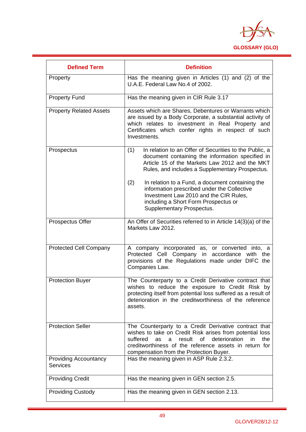

| <b>Defined Term</b>                             | <b>Definition</b>                                                                                                                                                                                                                                                                                                                                                                                                                               |
|-------------------------------------------------|-------------------------------------------------------------------------------------------------------------------------------------------------------------------------------------------------------------------------------------------------------------------------------------------------------------------------------------------------------------------------------------------------------------------------------------------------|
| Property                                        | Has the meaning given in Articles (1) and (2) of the<br>U.A.E. Federal Law No.4 of 2002.                                                                                                                                                                                                                                                                                                                                                        |
| <b>Property Fund</b>                            | Has the meaning given in CIR Rule 3.17                                                                                                                                                                                                                                                                                                                                                                                                          |
| <b>Property Related Assets</b>                  | Assets which are Shares, Debentures or Warrants which<br>are issued by a Body Corporate, a substantial activity of<br>which relates to investment in Real Property and<br>Certificates which confer rights in respect of such<br>Investments.                                                                                                                                                                                                   |
| Prospectus                                      | In relation to an Offer of Securities to the Public, a<br>(1)<br>document containing the information specified in<br>Article 15 of the Markets Law 2012 and the MKT<br>Rules, and includes a Supplementary Prospectus.<br>(2)<br>In relation to a Fund, a document containing the<br>information prescribed under the Collective<br>Investment Law 2010 and the CIR Rules,<br>including a Short Form Prospectus or<br>Supplementary Prospectus. |
| Prospectus Offer                                | An Offer of Securities referred to in Article 14(3)(a) of the<br>Markets Law 2012.                                                                                                                                                                                                                                                                                                                                                              |
| <b>Protected Cell Company</b>                   | A company incorporated as, or converted into, a<br>Protected Cell Company in accordance with the<br>provisions of the Regulations made under DIFC the<br>Companies Law.                                                                                                                                                                                                                                                                         |
| <b>Protection Buyer</b>                         | The Counterparty to a Credit Derivative contract that<br>wishes to reduce the exposure to Credit Risk by<br>protecting itself from potential loss suffered as a result of<br>deterioration in the creditworthiness of the reference<br>assets.                                                                                                                                                                                                  |
| <b>Protection Seller</b>                        | The Counterparty to a Credit Derivative contract that<br>wishes to take on Credit Risk arises from potential loss<br>result<br>of<br>deterioration<br>suffered<br>in<br>the<br>as<br>a<br>creditworthiness of the reference assets in return for<br>compensation from the Protection Buyer.                                                                                                                                                     |
| <b>Providing Accountancy</b><br><b>Services</b> | Has the meaning given in ASP Rule 2.3.2.                                                                                                                                                                                                                                                                                                                                                                                                        |
| <b>Providing Credit</b>                         | Has the meaning given in GEN section 2.5.                                                                                                                                                                                                                                                                                                                                                                                                       |
| <b>Providing Custody</b>                        | Has the meaning given in GEN section 2.13.                                                                                                                                                                                                                                                                                                                                                                                                      |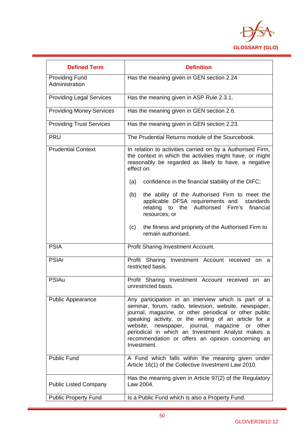

| <b>Defined Term</b>                     | <b>Definition</b>                                                                                                                                                                                                                                                                                                                                                                                                  |  |
|-----------------------------------------|--------------------------------------------------------------------------------------------------------------------------------------------------------------------------------------------------------------------------------------------------------------------------------------------------------------------------------------------------------------------------------------------------------------------|--|
| <b>Providing Fund</b><br>Administration | Has the meaning given in GEN section 2.24                                                                                                                                                                                                                                                                                                                                                                          |  |
| <b>Providing Legal Services</b>         | Has the meaning given in ASP Rule 2.3.1.                                                                                                                                                                                                                                                                                                                                                                           |  |
| <b>Providing Money Services</b>         | Has the meaning given in GEN section 2.6.                                                                                                                                                                                                                                                                                                                                                                          |  |
| <b>Providing Trust Services</b>         | Has the meaning given in GEN section 2.23.                                                                                                                                                                                                                                                                                                                                                                         |  |
| <b>PRU</b>                              | The Prudential Returns module of the Sourcebook.                                                                                                                                                                                                                                                                                                                                                                   |  |
| <b>Prudential Context</b>               | In relation to activities carried on by a Authorised Firm,<br>the context in which the activities might have, or might<br>reasonably be regarded as likely to have, a negative<br>effect on:                                                                                                                                                                                                                       |  |
|                                         | confidence in the financial stability of the DIFC;<br>(a)                                                                                                                                                                                                                                                                                                                                                          |  |
|                                         | the ability of the Authorised Firm to meet the<br>(b)<br>applicable DFSA requirements and<br>standards<br>the Authorised<br>Firm's<br>relating to<br>financial<br>resources; or                                                                                                                                                                                                                                    |  |
|                                         | the fitness and propriety of the Authorised Firm to<br>(c)<br>remain authorised.                                                                                                                                                                                                                                                                                                                                   |  |
| <b>PSIA</b>                             | Profit Sharing Investment Account.                                                                                                                                                                                                                                                                                                                                                                                 |  |
| <b>PSIAr</b>                            | Profit Sharing Investment Account received on<br>- a<br>restricted basis.                                                                                                                                                                                                                                                                                                                                          |  |
| <b>PSIAu</b>                            | Profit Sharing Investment Account received on an<br>unrestricted basis.                                                                                                                                                                                                                                                                                                                                            |  |
| <b>Public Appearance</b>                | Any participation in an interview which is part of a<br>seminar, forum, radio, television, website, newspaper,<br>journal, magazine, or other periodical or other public<br>speaking activity, or the writing of an article for a<br>website, newspaper, journal, magazine<br>or<br>other<br>periodical in which an Investment Analyst makes a<br>recommendation or offers an opinion concerning an<br>Investment. |  |
| <b>Public Fund</b>                      | A Fund which falls within the meaning given under<br>Article 16(1) of the Collective Investment Law 2010.                                                                                                                                                                                                                                                                                                          |  |
| <b>Public Listed Company</b>            | Has the meaning given in Article 97(2) of the Regulatory<br>Law 2004.                                                                                                                                                                                                                                                                                                                                              |  |
| <b>Public Property Fund</b>             | Is a Public Fund which is also a Property Fund.                                                                                                                                                                                                                                                                                                                                                                    |  |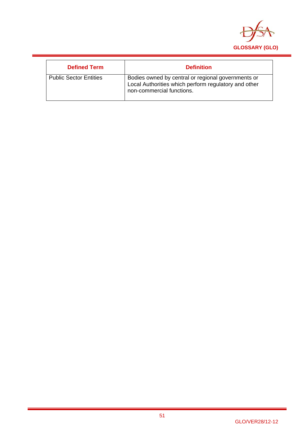

| <b>Defined Term</b>           | <b>Definition</b>                                                                                                                       |
|-------------------------------|-----------------------------------------------------------------------------------------------------------------------------------------|
| <b>Public Sector Entities</b> | Bodies owned by central or regional governments or<br>Local Authorities which perform regulatory and other<br>non-commercial functions. |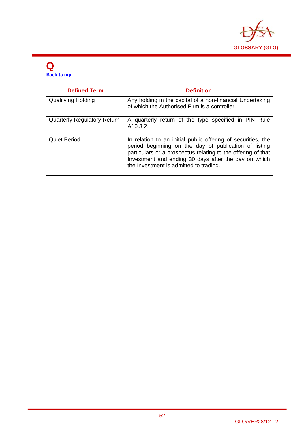

#### **Q Back to top**

| <b>Defined Term</b>                | <b>Definition</b>                                                                                                                                                                                                                                                                       |
|------------------------------------|-----------------------------------------------------------------------------------------------------------------------------------------------------------------------------------------------------------------------------------------------------------------------------------------|
| <b>Qualifying Holding</b>          | Any holding in the capital of a non-financial Undertaking<br>of which the Authorised Firm is a controller.                                                                                                                                                                              |
| <b>Quarterly Regulatory Return</b> | A quarterly return of the type specified in PIN Rule<br>A <sub>10.3.2</sub> .                                                                                                                                                                                                           |
| <b>Quiet Period</b>                | In relation to an initial public offering of securities, the<br>period beginning on the day of publication of listing<br>particulars or a prospectus relating to the offering of that<br>Investment and ending 30 days after the day on which<br>the Investment is admitted to trading. |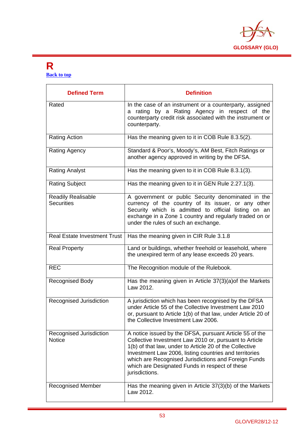

#### **R Back to top**

| <b>Defined Term</b>                            | <b>Definition</b>                                                                                                                                                                                                                                                                                                                                                  |
|------------------------------------------------|--------------------------------------------------------------------------------------------------------------------------------------------------------------------------------------------------------------------------------------------------------------------------------------------------------------------------------------------------------------------|
| Rated                                          | In the case of an instrument or a counterparty, assigned<br>rating by a Rating Agency in respect of the<br>a<br>counterparty credit risk associated with the instrument or<br>counterparty.                                                                                                                                                                        |
| <b>Rating Action</b>                           | Has the meaning given to it in COB Rule 8.3.5(2).                                                                                                                                                                                                                                                                                                                  |
| Rating Agency                                  | Standard & Poor's, Moody's, AM Best, Fitch Ratings or<br>another agency approved in writing by the DFSA.                                                                                                                                                                                                                                                           |
| <b>Rating Analyst</b>                          | Has the meaning given to it in COB Rule 8.3.1(3).                                                                                                                                                                                                                                                                                                                  |
| <b>Rating Subject</b>                          | Has the meaning given to it in GEN Rule 2.27.1(3).                                                                                                                                                                                                                                                                                                                 |
| <b>Readily Realisable</b><br><b>Securities</b> | A government or public Security denominated in the<br>currency of the country of its issuer, or any other<br>Security which is admitted to official listing on an<br>exchange in a Zone 1 country and regularly traded on or<br>under the rules of such an exchange.                                                                                               |
| <b>Real Estate Investment Trust</b>            | Has the meaning given in CIR Rule 3.1.8                                                                                                                                                                                                                                                                                                                            |
| <b>Real Property</b>                           | Land or buildings, whether freehold or leasehold, where<br>the unexpired term of any lease exceeds 20 years.                                                                                                                                                                                                                                                       |
| <b>REC</b>                                     | The Recognition module of the Rulebook.                                                                                                                                                                                                                                                                                                                            |
| <b>Recognised Body</b>                         | Has the meaning given in Article 37(3)(a) of the Markets<br>Law 2012.                                                                                                                                                                                                                                                                                              |
| Recognised Jurisdiction                        | A jurisdiction which has been recognised by the DFSA<br>under Article 55 of the Collective Investment Law 2010<br>or, pursuant to Article 1(b) of that law, under Article 20 of<br>the Collective Investment Law 2006.                                                                                                                                             |
| Recognised Jurisdiction<br><b>Notice</b>       | A notice issued by the DFSA, pursuant Article 55 of the<br>Collective Investment Law 2010 or, pursuant to Article<br>1(b) of that law, under to Article 20 of the Collective<br>Investment Law 2006, listing countries and territories<br>which are Recognised Jurisdictions and Foreign Funds<br>which are Designated Funds in respect of these<br>jurisdictions. |
| <b>Recognised Member</b>                       | Has the meaning given in Article 37(3)(b) of the Markets<br>Law 2012.                                                                                                                                                                                                                                                                                              |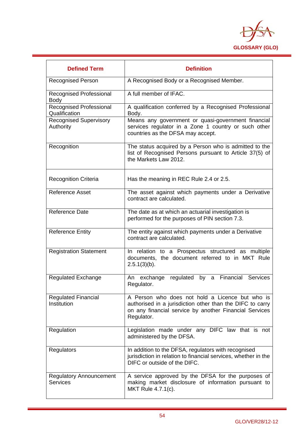

| <b>Defined Term</b>                               | <b>Definition</b>                                                                                                                                                                    |
|---------------------------------------------------|--------------------------------------------------------------------------------------------------------------------------------------------------------------------------------------|
| <b>Recognised Person</b>                          | A Recognised Body or a Recognised Member.                                                                                                                                            |
| <b>Recognised Professional</b><br><b>Body</b>     | A full member of IFAC.                                                                                                                                                               |
| <b>Recognised Professional</b><br>Qualification   | A qualification conferred by a Recognised Professional<br>Body.                                                                                                                      |
| <b>Recognised Supervisory</b><br>Authority        | Means any government or quasi-government financial<br>services regulator in a Zone 1 country or such other<br>countries as the DFSA may accept.                                      |
| Recognition                                       | The status acquired by a Person who is admitted to the<br>list of Recognised Persons pursuant to Article 37(5) of<br>the Markets Law 2012.                                           |
| <b>Recognition Criteria</b>                       | Has the meaning in REC Rule 2.4 or 2.5.                                                                                                                                              |
| <b>Reference Asset</b>                            | The asset against which payments under a Derivative<br>contract are calculated.                                                                                                      |
| <b>Reference Date</b>                             | The date as at which an actuarial investigation is<br>performed for the purposes of PIN section 7.3.                                                                                 |
| <b>Reference Entity</b>                           | The entity against which payments under a Derivative<br>contract are calculated.                                                                                                     |
| <b>Registration Statement</b>                     | In relation to a Prospectus structured as multiple<br>documents, the document referred to in MKT Rule<br>$2.5.1(3)(b)$ .                                                             |
| <b>Regulated Exchange</b>                         | regulated by a Financial Services<br>An exchange<br>Regulator.                                                                                                                       |
| <b>Regulated Financial</b><br>Institution         | A Person who does not hold a Licence but who is<br>authorised in a jurisdiction other than the DIFC to carry<br>on any financial service by another Financial Services<br>Regulator. |
| Regulation                                        | Legislation made under any DIFC law that is not<br>administered by the DFSA.                                                                                                         |
| Regulators                                        | In addition to the DFSA, regulators with recognised<br>jurisdiction in relation to financial services, whether in the<br>DIFC or outside of the DIFC.                                |
| <b>Regulatory Announcement</b><br><b>Services</b> | A service approved by the DFSA for the purposes of<br>making market disclosure of information pursuant to<br>MKT Rule 4.7.1(c).                                                      |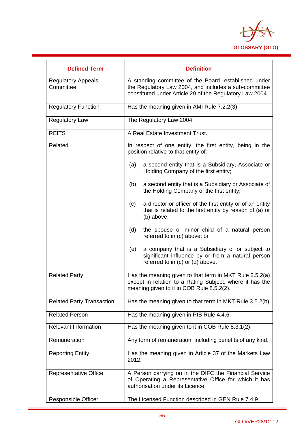

| <b>Defined Term</b>                    | <b>Definition</b>                                                                                                                                                         |
|----------------------------------------|---------------------------------------------------------------------------------------------------------------------------------------------------------------------------|
| <b>Regulatory Appeals</b><br>Committee | A standing committee of the Board, established under<br>the Regulatory Law 2004, and includes a sub-committee<br>constituted under Article 29 of the Regulatory Law 2004. |
| <b>Regulatory Function</b>             | Has the meaning given in AMI Rule 7.2.2(3).                                                                                                                               |
| <b>Regulatory Law</b>                  | The Regulatory Law 2004.                                                                                                                                                  |
| <b>REITS</b>                           | A Real Estate Investment Trust.                                                                                                                                           |
| Related                                | In respect of one entity, the first entity, being in the<br>position relative to that entity of:                                                                          |
|                                        | (a)<br>a second entity that is a Subsidiary, Associate or<br>Holding Company of the first entity;                                                                         |
|                                        | a second entity that is a Subsidiary or Associate of<br>(b)<br>the Holding Company of the first entity;                                                                   |
|                                        | a director or officer of the first entity or of an entity<br>(c)<br>that is related to the first entity by reason of (a) or<br>(b) above;                                 |
|                                        | (d)<br>the spouse or minor child of a natural person<br>referred to in (c) above; or                                                                                      |
|                                        | (e)<br>a company that is a Subsidiary of or subject to<br>significant influence by or from a natural person<br>referred to in (c) or (d) above.                           |
| <b>Related Party</b>                   | Has the meaning given to that term in MKT Rule 3.5.2(a)<br>except in relation to a Rating Subject, where it has the<br>meaning given to it in COB Rule 8.5.2(2).          |
| <b>Related Party Transaction</b>       | Has the meaning given to that term in MKT Rule 3.5.2(b)                                                                                                                   |
| <b>Related Person</b>                  | Has the meaning given in PIB Rule 4.4.6.                                                                                                                                  |
| <b>Relevant Information</b>            | Has the meaning given to it in COB Rule 8.3.1(2)                                                                                                                          |
| Remuneration                           | Any form of remuneration, including benefits of any kind.                                                                                                                 |
| <b>Reporting Entity</b>                | Has the meaning given in Article 37 of the Markets Law<br>2012.                                                                                                           |
| Representative Office                  | A Person carrying on in the DIFC the Financial Service<br>of Operating a Representative Office for which it has<br>authorisation under its Licence.                       |
| <b>Responsible Officer</b>             | The Licensed Function described in GEN Rule 7.4.9                                                                                                                         |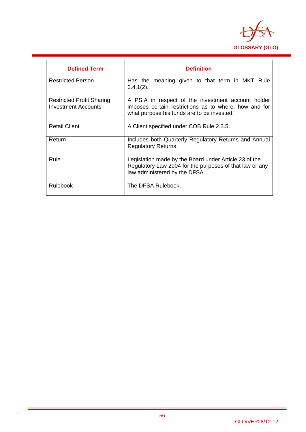

| <b>Defined Term</b>                                            | <b>Definition</b>                                                                                                                                         |
|----------------------------------------------------------------|-----------------------------------------------------------------------------------------------------------------------------------------------------------|
| <b>Restricted Person</b>                                       | Has the meaning given to that term in MKT Rule<br>$3.4.1(2)$ .                                                                                            |
| <b>Restricted Profit Sharing</b><br><b>Investment Accounts</b> | A PSIA in respect of the investment account holder<br>imposes certain restrictions as to where, how and for<br>what purpose his funds are to be invested. |
| <b>Retail Client</b>                                           | A Client specified under COB Rule 2.3.5.                                                                                                                  |
| Return                                                         | Includes both Quarterly Regulatory Returns and Annual<br><b>Regulatory Returns.</b>                                                                       |
| Rule                                                           | Legislation made by the Board under Article 23 of the<br>Regulatory Law 2004 for the purposes of that law or any<br>law administered by the DFSA.         |
| <b>Rulebook</b>                                                | The DFSA Rulebook.                                                                                                                                        |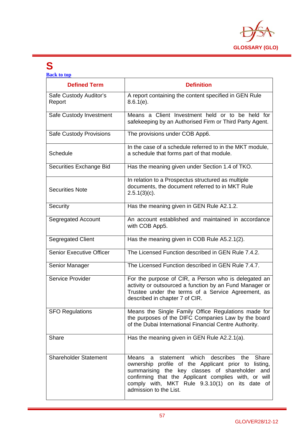

### **S**

 $\mathbf{l}$ 

| <b>Back to top</b>               |                                                                                                                                                                                                                                                                                                             |  |
|----------------------------------|-------------------------------------------------------------------------------------------------------------------------------------------------------------------------------------------------------------------------------------------------------------------------------------------------------------|--|
| <b>Defined Term</b>              | <b>Definition</b>                                                                                                                                                                                                                                                                                           |  |
| Safe Custody Auditor's<br>Report | A report containing the content specified in GEN Rule<br>$8.6.1(e)$ .                                                                                                                                                                                                                                       |  |
| Safe Custody Investment          | Means a Client Investment held or to be held for<br>safekeeping by an Authorised Firm or Third Party Agent.                                                                                                                                                                                                 |  |
| <b>Safe Custody Provisions</b>   | The provisions under COB App6.                                                                                                                                                                                                                                                                              |  |
| Schedule                         | In the case of a schedule referred to in the MKT module,<br>a schedule that forms part of that module.                                                                                                                                                                                                      |  |
| Securities Exchange Bid          | Has the meaning given under Section 1.4 of TKO.                                                                                                                                                                                                                                                             |  |
| <b>Securities Note</b>           | In relation to a Prospectus structured as multiple<br>documents, the document referred to in MKT Rule<br>$2.5.1(3)(c)$ .                                                                                                                                                                                    |  |
| Security                         | Has the meaning given in GEN Rule A2.1.2.                                                                                                                                                                                                                                                                   |  |
| Segregated Account               | An account established and maintained in accordance<br>with COB App5.                                                                                                                                                                                                                                       |  |
| <b>Segregated Client</b>         | Has the meaning given in COB Rule A5.2.1(2).                                                                                                                                                                                                                                                                |  |
| <b>Senior Executive Officer</b>  | The Licensed Function described in GEN Rule 7.4.2.                                                                                                                                                                                                                                                          |  |
| Senior Manager                   | The Licensed Function described in GEN Rule 7.4.7.                                                                                                                                                                                                                                                          |  |
| Service Provider                 | For the purpose of CIR, a Person who is delegated an<br>activity or outsourced a function by an Fund Manager or<br>Trustee under the terms of a Service Agreement, as<br>described in chapter 7 of CIR.                                                                                                     |  |
| <b>SFO Regulations</b>           | Means the Single Family Office Regulations made for<br>the purposes of the DIFC Companies Law by the board<br>of the Dubai International Financial Centre Authority.                                                                                                                                        |  |
| Share                            | Has the meaning given in GEN Rule A2.2.1(a).                                                                                                                                                                                                                                                                |  |
| <b>Shareholder Statement</b>     | which<br>describes<br>a statement<br>the<br>Share<br>Means<br>ownership profile of the Applicant prior to listing,<br>summarising the key classes of shareholder<br>and<br>confirming that the Applicant complies with, or will<br>comply with, MKT Rule 9.3.10(1) on its date of<br>admission to the List. |  |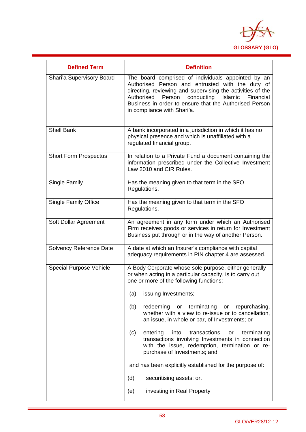

| <b>Defined Term</b>            | <b>Definition</b>                                                                                                                                                                                                                                                                                                           |
|--------------------------------|-----------------------------------------------------------------------------------------------------------------------------------------------------------------------------------------------------------------------------------------------------------------------------------------------------------------------------|
| Shari'a Supervisory Board      | The board comprised of individuals appointed by an<br>Authorised Person and entrusted with the duty of<br>directing, reviewing and supervising the activities of the<br>conducting<br>Authorised<br>Person<br>Islamic<br>Financial<br>Business in order to ensure that the Authorised Person<br>in compliance with Shari'a. |
| <b>Shell Bank</b>              | A bank incorporated in a jurisdiction in which it has no<br>physical presence and which is unaffiliated with a<br>regulated financial group.                                                                                                                                                                                |
| <b>Short Form Prospectus</b>   | In relation to a Private Fund a document containing the<br>information prescribed under the Collective Investment<br>Law 2010 and CIR Rules.                                                                                                                                                                                |
| <b>Single Family</b>           | Has the meaning given to that term in the SFO<br>Regulations.                                                                                                                                                                                                                                                               |
| Single Family Office           | Has the meaning given to that term in the SFO<br>Regulations.                                                                                                                                                                                                                                                               |
| Soft Dollar Agreement          | An agreement in any form under which an Authorised<br>Firm receives goods or services in return for Investment<br>Business put through or in the way of another Person.                                                                                                                                                     |
| Solvency Reference Date        | A date at which an Insurer's compliance with capital<br>adequacy requirements in PIN chapter 4 are assessed.                                                                                                                                                                                                                |
| <b>Special Purpose Vehicle</b> | A Body Corporate whose sole purpose, either generally<br>or when acting in a particular capacity, is to carry out<br>one or more of the following functions:<br>issuing Investments;<br>(a)                                                                                                                                 |
|                                | (b)<br>redeeming or terminating<br>or<br>repurchasing,<br>whether with a view to re-issue or to cancellation,<br>an issue, in whole or par, of Investments; or                                                                                                                                                              |
|                                | transactions<br>(c)<br>entering<br>into<br>terminating<br>or<br>transactions involving Investments in connection<br>with the issue, redemption, termination or re-<br>purchase of Investments; and                                                                                                                          |
|                                | and has been explicitly established for the purpose of:                                                                                                                                                                                                                                                                     |
|                                | (d)<br>securitising assets; or.                                                                                                                                                                                                                                                                                             |
|                                | investing in Real Property<br>(e)                                                                                                                                                                                                                                                                                           |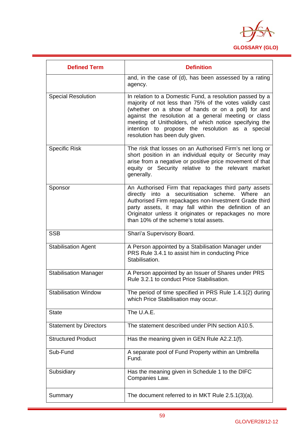

| <b>Defined Term</b>           | <b>Definition</b>                                                                                                                                                                                                                                                                                                                                                                 |
|-------------------------------|-----------------------------------------------------------------------------------------------------------------------------------------------------------------------------------------------------------------------------------------------------------------------------------------------------------------------------------------------------------------------------------|
|                               | and, in the case of (d), has been assessed by a rating<br>agency.                                                                                                                                                                                                                                                                                                                 |
| <b>Special Resolution</b>     | In relation to a Domestic Fund, a resolution passed by a<br>majority of not less than 75% of the votes validly cast<br>(whether on a show of hands or on a poll) for and<br>against the resolution at a general meeting or class<br>meeting of Unitholders, of which notice specifying the<br>intention to propose the resolution as a special<br>resolution has been duly given. |
| <b>Specific Risk</b>          | The risk that losses on an Authorised Firm's net long or<br>short position in an individual equity or Security may<br>arise from a negative or positive price movement of that<br>equity or Security relative to the relevant market<br>generally.                                                                                                                                |
| Sponsor                       | An Authorised Firm that repackages third party assets<br>directly into a securitisation scheme. Where an<br>Authorised Firm repackages non-Investment Grade third<br>party assets, it may fall within the definition of an<br>Originator unless it originates or repackages no more<br>than 10% of the scheme's total assets.                                                     |
| <b>SSB</b>                    | Shari'a Supervisory Board.                                                                                                                                                                                                                                                                                                                                                        |
| <b>Stabilisation Agent</b>    | A Person appointed by a Stabilisation Manager under<br>PRS Rule 3.4.1 to assist him in conducting Price<br>Stabilisation.                                                                                                                                                                                                                                                         |
| <b>Stabilisation Manager</b>  | A Person appointed by an Issuer of Shares under PRS<br>Rule 3.2.1 to conduct Price Stabilisation.                                                                                                                                                                                                                                                                                 |
| <b>Stabilisation Window</b>   | The period of time specified in PRS Rule 1.4.1(2) during<br>which Price Stabilisation may occur.                                                                                                                                                                                                                                                                                  |
| <b>State</b>                  | The U.A.E.                                                                                                                                                                                                                                                                                                                                                                        |
| <b>Statement by Directors</b> | The statement described under PIN section A10.5.                                                                                                                                                                                                                                                                                                                                  |
| <b>Structured Product</b>     | Has the meaning given in GEN Rule A2.2.1(f).                                                                                                                                                                                                                                                                                                                                      |
| Sub-Fund                      | A separate pool of Fund Property within an Umbrella<br>Fund.                                                                                                                                                                                                                                                                                                                      |
| Subsidiary                    | Has the meaning given in Schedule 1 to the DIFC<br>Companies Law.                                                                                                                                                                                                                                                                                                                 |
| Summary                       | The document referred to in MKT Rule 2.5.1(3)(a).                                                                                                                                                                                                                                                                                                                                 |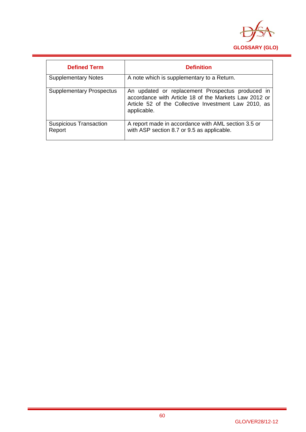

| <b>Defined Term</b>                     | <b>Definition</b>                                                                                                                                                                |
|-----------------------------------------|----------------------------------------------------------------------------------------------------------------------------------------------------------------------------------|
| <b>Supplementary Notes</b>              | A note which is supplementary to a Return.                                                                                                                                       |
| <b>Supplementary Prospectus</b>         | An updated or replacement Prospectus produced in<br>accordance with Article 18 of the Markets Law 2012 or<br>Article 52 of the Collective Investment Law 2010, as<br>applicable. |
| <b>Suspicious Transaction</b><br>Report | A report made in accordance with AML section 3.5 or<br>with ASP section 8.7 or 9.5 as applicable.                                                                                |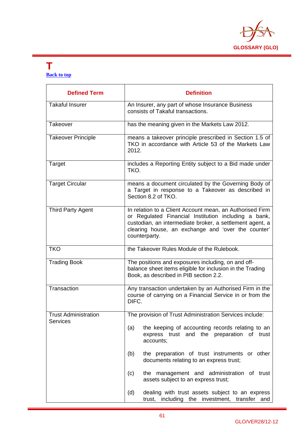

#### **T Back to top**

| <b>Defined Term</b>                     | <b>Definition</b>                                                                                                                                                                                                                                   |
|-----------------------------------------|-----------------------------------------------------------------------------------------------------------------------------------------------------------------------------------------------------------------------------------------------------|
| <b>Takaful Insurer</b>                  | An Insurer, any part of whose Insurance Business<br>consists of Takaful transactions.                                                                                                                                                               |
| Takeover                                | has the meaning given in the Markets Law 2012.                                                                                                                                                                                                      |
| <b>Takeover Principle</b>               | means a takeover principle prescribed in Section 1.5 of<br>TKO in accordance with Article 53 of the Markets Law<br>2012.                                                                                                                            |
| Target                                  | includes a Reporting Entity subject to a Bid made under<br>TKO.                                                                                                                                                                                     |
| <b>Target Circular</b>                  | means a document circulated by the Governing Body of<br>a Target in response to a Takeover as described in<br>Section 8.2 of TKO.                                                                                                                   |
| <b>Third Party Agent</b>                | In relation to a Client Account mean, an Authorised Firm<br>or Regulated Financial Institution including a bank,<br>custodian, an intermediate broker, a settlement agent, a<br>clearing house, an exchange and 'over the counter'<br>counterparty. |
| <b>TKO</b>                              | the Takeover Rules Module of the Rulebook.                                                                                                                                                                                                          |
| <b>Trading Book</b>                     | The positions and exposures including, on and off-<br>balance sheet items eligible for inclusion in the Trading<br>Book, as described in PIB section 2.2.                                                                                           |
| Transaction                             | Any transaction undertaken by an Authorised Firm in the<br>course of carrying on a Financial Service in or from the<br>DIFC.                                                                                                                        |
| <b>Trust Administration</b><br>Services | The provision of Trust Administration Services include:                                                                                                                                                                                             |
|                                         | the keeping of accounting records relating to an<br>(a)<br>express trust and<br>the preparation of trust<br>accounts;                                                                                                                               |
|                                         | the preparation of trust instruments or other<br>(b)<br>documents relating to an express trust;                                                                                                                                                     |
|                                         | (c)<br>the management and administration of trust<br>assets subject to an express trust;                                                                                                                                                            |
|                                         | dealing with trust assets subject to an express<br>(d)<br>trust, including the investment, transfer and                                                                                                                                             |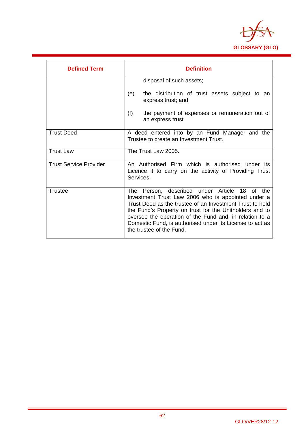

| <b>Defined Term</b>           | <b>Definition</b>                                                                                                                                                                                                                                                                                                                                                             |
|-------------------------------|-------------------------------------------------------------------------------------------------------------------------------------------------------------------------------------------------------------------------------------------------------------------------------------------------------------------------------------------------------------------------------|
|                               | disposal of such assets;                                                                                                                                                                                                                                                                                                                                                      |
|                               | (e)<br>the distribution of trust assets subject to an<br>express trust; and                                                                                                                                                                                                                                                                                                   |
|                               | (f)<br>the payment of expenses or remuneration out of<br>an express trust.                                                                                                                                                                                                                                                                                                    |
| <b>Trust Deed</b>             | A deed entered into by an Fund Manager and the<br>Trustee to create an Investment Trust.                                                                                                                                                                                                                                                                                      |
| <b>Trust Law</b>              | The Trust Law 2005.                                                                                                                                                                                                                                                                                                                                                           |
| <b>Trust Service Provider</b> | An Authorised Firm which is authorised under its<br>Licence it to carry on the activity of Providing Trust<br>Services.                                                                                                                                                                                                                                                       |
| <b>Trustee</b>                | The Person, described under Article 18 of the<br>Investment Trust Law 2006 who is appointed under a<br>Trust Deed as the trustee of an Investment Trust to hold<br>the Fund's Property on trust for the Unitholders and to<br>oversee the operation of the Fund and, in relation to a<br>Domestic Fund, is authorised under its License to act as<br>the trustee of the Fund. |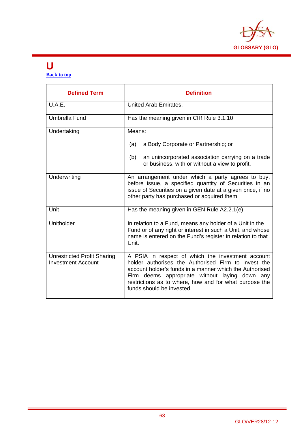

#### **U Back to top**

| <b>Defined Term</b>                                             | <b>Definition</b>                                                                                                                                                                                                                                                                                            |
|-----------------------------------------------------------------|--------------------------------------------------------------------------------------------------------------------------------------------------------------------------------------------------------------------------------------------------------------------------------------------------------------|
| U.A.E.                                                          | United Arab Emirates.                                                                                                                                                                                                                                                                                        |
| <b>Umbrella Fund</b>                                            | Has the meaning given in CIR Rule 3.1.10                                                                                                                                                                                                                                                                     |
| Undertaking                                                     | Means:                                                                                                                                                                                                                                                                                                       |
|                                                                 | a Body Corporate or Partnership; or<br>(a)                                                                                                                                                                                                                                                                   |
|                                                                 | an unincorporated association carrying on a trade<br>(b)<br>or business, with or without a view to profit.                                                                                                                                                                                                   |
| Underwriting                                                    | An arrangement under which a party agrees to buy,<br>before issue, a specified quantity of Securities in an<br>issue of Securities on a given date at a given price, if no<br>other party has purchased or acquired them.                                                                                    |
| Unit                                                            | Has the meaning given in GEN Rule A2.2.1(e)                                                                                                                                                                                                                                                                  |
| Unitholder                                                      | In relation to a Fund, means any holder of a Unit in the<br>Fund or of any right or interest in such a Unit, and whose<br>name is entered on the Fund's register in relation to that<br>Unit.                                                                                                                |
| <b>Unrestricted Profit Sharing</b><br><b>Investment Account</b> | A PSIA in respect of which the investment account<br>holder authorises the Authorised Firm to invest the<br>account holder's funds in a manner which the Authorised<br>Firm deems appropriate without laying down any<br>restrictions as to where, how and for what purpose the<br>funds should be invested. |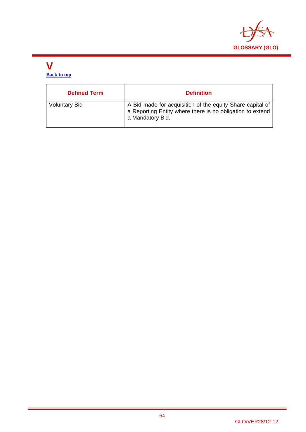

#### **V Back to top**

| <b>Defined Term</b>  | <b>Definition</b>                                                                                                                          |
|----------------------|--------------------------------------------------------------------------------------------------------------------------------------------|
| <b>Voluntary Bid</b> | A Bid made for acquisition of the equity Share capital of<br>a Reporting Entity where there is no obligation to extend<br>a Mandatory Bid. |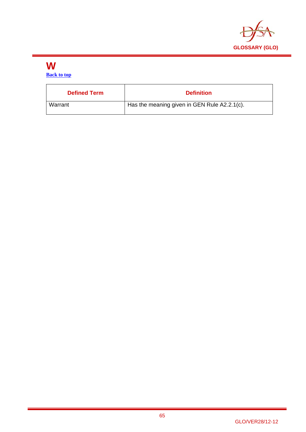

# **W**

**Back to top**

| <b>Defined Term</b> | <b>Definition</b>                            |
|---------------------|----------------------------------------------|
| Warrant             | Has the meaning given in GEN Rule A2.2.1(c). |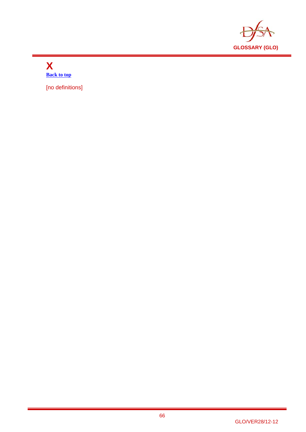

#### **X Back to top**

[no definitions]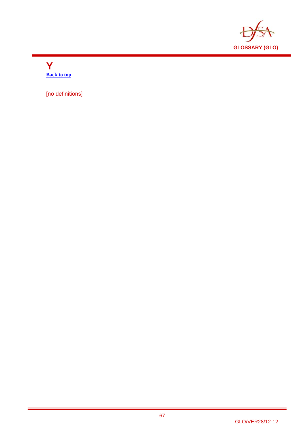

**Y Back to top** 

[no definitions]